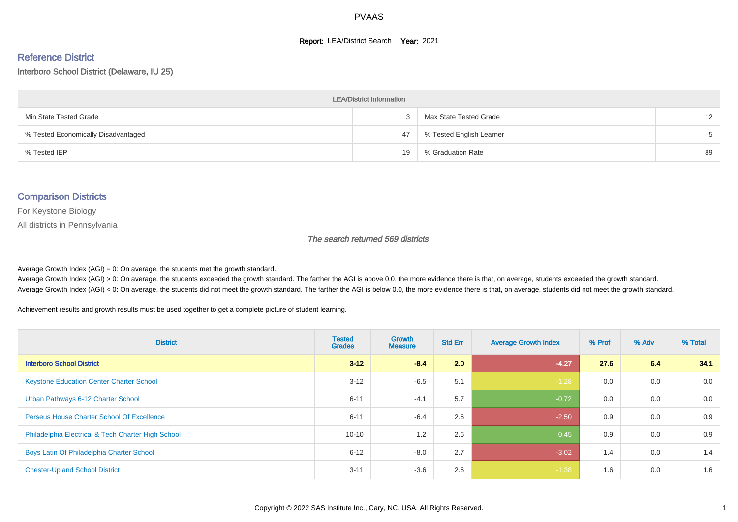#### **Report: LEA/District Search Year: 2021**

#### Reference District

#### Interboro School District (Delaware, IU 25)

| <b>LEA/District Information</b>     |    |                          |                   |  |  |  |  |  |  |  |
|-------------------------------------|----|--------------------------|-------------------|--|--|--|--|--|--|--|
| Min State Tested Grade              |    | Max State Tested Grade   | $12 \overline{ }$ |  |  |  |  |  |  |  |
| % Tested Economically Disadvantaged | 47 | % Tested English Learner | $5 -$             |  |  |  |  |  |  |  |
| % Tested IEP                        | 19 | % Graduation Rate        | 89                |  |  |  |  |  |  |  |

#### Comparison Districts

For Keystone Biology

All districts in Pennsylvania

The search returned 569 districts

Average Growth Index  $(AGI) = 0$ : On average, the students met the growth standard.

Average Growth Index (AGI) > 0: On average, the students exceeded the growth standard. The farther the AGI is above 0.0, the more evidence there is that, on average, students exceeded the growth standard. Average Growth Index (AGI) < 0: On average, the students did not meet the growth standard. The farther the AGI is below 0.0, the more evidence there is that, on average, students did not meet the growth standard.

Achievement results and growth results must be used together to get a complete picture of student learning.

| <b>District</b>                                    | <b>Tested</b><br><b>Grades</b> | <b>Growth</b><br><b>Measure</b> | <b>Std Err</b> | <b>Average Growth Index</b> | % Prof | % Adv | % Total |
|----------------------------------------------------|--------------------------------|---------------------------------|----------------|-----------------------------|--------|-------|---------|
| <b>Interboro School District</b>                   | $3 - 12$                       | $-8.4$                          | 2.0            | $-4.27$                     | 27.6   | 6.4   | 34.1    |
| <b>Keystone Education Center Charter School</b>    | $3 - 12$                       | $-6.5$                          | 5.1            | $-1.28$                     | 0.0    | 0.0   | 0.0     |
| Urban Pathways 6-12 Charter School                 | $6 - 11$                       | $-4.1$                          | 5.7            | $-0.72$                     | 0.0    | 0.0   | 0.0     |
| <b>Perseus House Charter School Of Excellence</b>  | $6 - 11$                       | $-6.4$                          | 2.6            | $-2.50$                     | 0.9    | 0.0   | 0.9     |
| Philadelphia Electrical & Tech Charter High School | $10 - 10$                      | 1.2                             | 2.6            | 0.45                        | 0.9    | 0.0   | 0.9     |
| Boys Latin Of Philadelphia Charter School          | $6 - 12$                       | $-8.0$                          | 2.7            | $-3.02$                     | 1.4    | 0.0   | 1.4     |
| <b>Chester-Upland School District</b>              | $3 - 11$                       | $-3.6$                          | 2.6            | $-1.38$                     | 1.6    | 0.0   | 1.6     |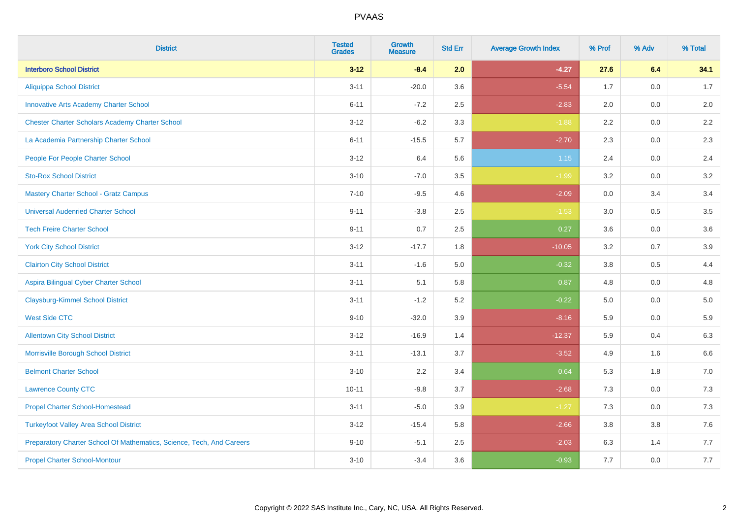| <b>District</b>                                                       | <b>Tested</b><br><b>Grades</b> | <b>Growth</b><br><b>Measure</b> | <b>Std Err</b> | <b>Average Growth Index</b> | % Prof | % Adv   | % Total |
|-----------------------------------------------------------------------|--------------------------------|---------------------------------|----------------|-----------------------------|--------|---------|---------|
| <b>Interboro School District</b>                                      | $3 - 12$                       | $-8.4$                          | 2.0            | $-4.27$                     | 27.6   | 6.4     | 34.1    |
| <b>Aliquippa School District</b>                                      | $3 - 11$                       | $-20.0$                         | 3.6            | $-5.54$                     | 1.7    | 0.0     | 1.7     |
| <b>Innovative Arts Academy Charter School</b>                         | $6 - 11$                       | $-7.2$                          | 2.5            | $-2.83$                     | 2.0    | 0.0     | 2.0     |
| <b>Chester Charter Scholars Academy Charter School</b>                | $3 - 12$                       | $-6.2$                          | 3.3            | $-1.88$                     | 2.2    | $0.0\,$ | $2.2\,$ |
| La Academia Partnership Charter School                                | $6 - 11$                       | $-15.5$                         | 5.7            | $-2.70$                     | 2.3    | 0.0     | 2.3     |
| People For People Charter School                                      | $3 - 12$                       | 6.4                             | 5.6            | $1.15$                      | 2.4    | 0.0     | 2.4     |
| <b>Sto-Rox School District</b>                                        | $3 - 10$                       | $-7.0$                          | 3.5            | $-1.99$                     | 3.2    | $0.0\,$ | 3.2     |
| <b>Mastery Charter School - Gratz Campus</b>                          | $7 - 10$                       | $-9.5$                          | 4.6            | $-2.09$                     | 0.0    | 3.4     | 3.4     |
| <b>Universal Audenried Charter School</b>                             | $9 - 11$                       | $-3.8$                          | 2.5            | $-1.53$                     | 3.0    | 0.5     | 3.5     |
| <b>Tech Freire Charter School</b>                                     | $9 - 11$                       | 0.7                             | $2.5\,$        | 0.27                        | 3.6    | 0.0     | 3.6     |
| <b>York City School District</b>                                      | $3 - 12$                       | $-17.7$                         | 1.8            | $-10.05$                    | 3.2    | 0.7     | 3.9     |
| <b>Clairton City School District</b>                                  | $3 - 11$                       | $-1.6$                          | 5.0            | $-0.32$                     | 3.8    | 0.5     | 4.4     |
| Aspira Bilingual Cyber Charter School                                 | $3 - 11$                       | 5.1                             | 5.8            | 0.87                        | 4.8    | 0.0     | 4.8     |
| <b>Claysburg-Kimmel School District</b>                               | $3 - 11$                       | $-1.2$                          | 5.2            | $-0.22$                     | 5.0    | 0.0     | $5.0$   |
| <b>West Side CTC</b>                                                  | $9 - 10$                       | $-32.0$                         | 3.9            | $-8.16$                     | 5.9    | 0.0     | 5.9     |
| <b>Allentown City School District</b>                                 | $3 - 12$                       | $-16.9$                         | 1.4            | $-12.37$                    | 5.9    | 0.4     | 6.3     |
| Morrisville Borough School District                                   | $3 - 11$                       | $-13.1$                         | 3.7            | $-3.52$                     | 4.9    | 1.6     | 6.6     |
| <b>Belmont Charter School</b>                                         | $3 - 10$                       | 2.2                             | 3.4            | 0.64                        | 5.3    | 1.8     | 7.0     |
| <b>Lawrence County CTC</b>                                            | $10 - 11$                      | $-9.8$                          | 3.7            | $-2.68$                     | 7.3    | 0.0     | 7.3     |
| <b>Propel Charter School-Homestead</b>                                | $3 - 11$                       | $-5.0$                          | 3.9            | $-1.27$                     | 7.3    | 0.0     | $7.3$   |
| <b>Turkeyfoot Valley Area School District</b>                         | $3 - 12$                       | $-15.4$                         | 5.8            | $-2.66$                     | 3.8    | 3.8     | $7.6$   |
| Preparatory Charter School Of Mathematics, Science, Tech, And Careers | $9 - 10$                       | $-5.1$                          | 2.5            | $-2.03$                     | 6.3    | 1.4     | 7.7     |
| <b>Propel Charter School-Montour</b>                                  | $3 - 10$                       | $-3.4$                          | 3.6            | $-0.93$                     | 7.7    | 0.0     | 7.7     |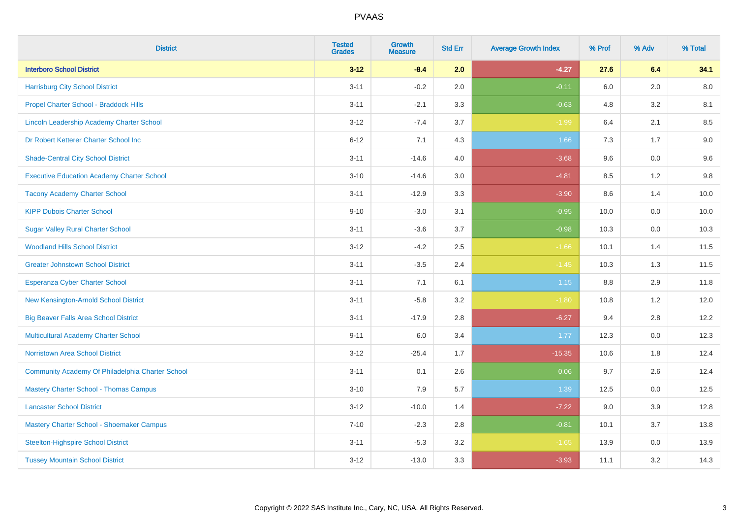| <b>District</b>                                   | <b>Tested</b><br><b>Grades</b> | <b>Growth</b><br><b>Measure</b> | <b>Std Err</b> | <b>Average Growth Index</b> | % Prof | % Adv   | % Total |
|---------------------------------------------------|--------------------------------|---------------------------------|----------------|-----------------------------|--------|---------|---------|
| <b>Interboro School District</b>                  | $3 - 12$                       | $-8.4$                          | 2.0            | $-4.27$                     | 27.6   | 6.4     | 34.1    |
| <b>Harrisburg City School District</b>            | $3 - 11$                       | $-0.2$                          | 2.0            | $-0.11$                     | 6.0    | 2.0     | 8.0     |
| Propel Charter School - Braddock Hills            | $3 - 11$                       | $-2.1$                          | 3.3            | $-0.63$                     | 4.8    | 3.2     | 8.1     |
| Lincoln Leadership Academy Charter School         | $3 - 12$                       | $-7.4$                          | 3.7            | $-1.99$                     | 6.4    | 2.1     | 8.5     |
| Dr Robert Ketterer Charter School Inc             | $6 - 12$                       | 7.1                             | 4.3            | 1.66                        | 7.3    | 1.7     | 9.0     |
| <b>Shade-Central City School District</b>         | $3 - 11$                       | $-14.6$                         | 4.0            | $-3.68$                     | 9.6    | 0.0     | 9.6     |
| <b>Executive Education Academy Charter School</b> | $3 - 10$                       | $-14.6$                         | 3.0            | $-4.81$                     | 8.5    | 1.2     | 9.8     |
| <b>Tacony Academy Charter School</b>              | $3 - 11$                       | $-12.9$                         | 3.3            | $-3.90$                     | 8.6    | 1.4     | 10.0    |
| <b>KIPP Dubois Charter School</b>                 | $9 - 10$                       | $-3.0$                          | 3.1            | $-0.95$                     | 10.0   | 0.0     | 10.0    |
| <b>Sugar Valley Rural Charter School</b>          | $3 - 11$                       | $-3.6$                          | 3.7            | $-0.98$                     | 10.3   | 0.0     | 10.3    |
| <b>Woodland Hills School District</b>             | $3 - 12$                       | $-4.2$                          | 2.5            | $-1.66$                     | 10.1   | 1.4     | 11.5    |
| <b>Greater Johnstown School District</b>          | $3 - 11$                       | $-3.5$                          | 2.4            | $-1.45$                     | 10.3   | 1.3     | 11.5    |
| Esperanza Cyber Charter School                    | $3 - 11$                       | 7.1                             | 6.1            | $1.15$                      | 8.8    | 2.9     | 11.8    |
| New Kensington-Arnold School District             | $3 - 11$                       | $-5.8$                          | 3.2            | $-1.80$                     | 10.8   | 1.2     | 12.0    |
| <b>Big Beaver Falls Area School District</b>      | $3 - 11$                       | $-17.9$                         | 2.8            | $-6.27$                     | 9.4    | 2.8     | 12.2    |
| <b>Multicultural Academy Charter School</b>       | $9 - 11$                       | 6.0                             | 3.4            | 1.77                        | 12.3   | $0.0\,$ | 12.3    |
| Norristown Area School District                   | $3 - 12$                       | $-25.4$                         | 1.7            | $-15.35$                    | 10.6   | 1.8     | 12.4    |
| Community Academy Of Philadelphia Charter School  | $3 - 11$                       | 0.1                             | 2.6            | 0.06                        | 9.7    | 2.6     | 12.4    |
| <b>Mastery Charter School - Thomas Campus</b>     | $3 - 10$                       | 7.9                             | 5.7            | 1.39                        | 12.5   | 0.0     | 12.5    |
| <b>Lancaster School District</b>                  | $3 - 12$                       | $-10.0$                         | 1.4            | $-7.22$                     | 9.0    | 3.9     | 12.8    |
| Mastery Charter School - Shoemaker Campus         | $7 - 10$                       | $-2.3$                          | 2.8            | $-0.81$                     | 10.1   | 3.7     | 13.8    |
| <b>Steelton-Highspire School District</b>         | $3 - 11$                       | $-5.3$                          | 3.2            | $-1.65$                     | 13.9   | $0.0\,$ | 13.9    |
| <b>Tussey Mountain School District</b>            | $3 - 12$                       | $-13.0$                         | 3.3            | $-3.93$                     | 11.1   | 3.2     | 14.3    |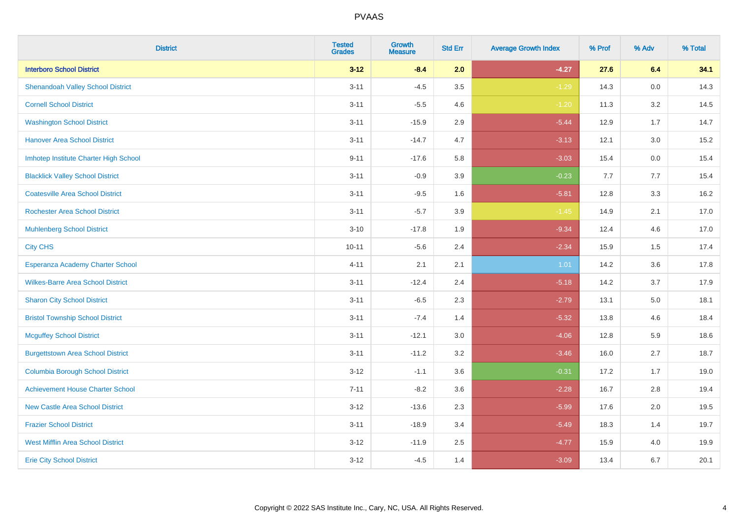| <b>District</b>                          | <b>Tested</b><br><b>Grades</b> | <b>Growth</b><br><b>Measure</b> | <b>Std Err</b> | <b>Average Growth Index</b> | % Prof | % Adv   | % Total |
|------------------------------------------|--------------------------------|---------------------------------|----------------|-----------------------------|--------|---------|---------|
| <b>Interboro School District</b>         | $3 - 12$                       | $-8.4$                          | 2.0            | $-4.27$                     | 27.6   | 6.4     | 34.1    |
| <b>Shenandoah Valley School District</b> | $3 - 11$                       | $-4.5$                          | 3.5            | $-1.29$                     | 14.3   | 0.0     | 14.3    |
| <b>Cornell School District</b>           | $3 - 11$                       | $-5.5$                          | 4.6            | $-1.20$                     | 11.3   | 3.2     | 14.5    |
| <b>Washington School District</b>        | $3 - 11$                       | $-15.9$                         | 2.9            | $-5.44$                     | 12.9   | 1.7     | 14.7    |
| <b>Hanover Area School District</b>      | $3 - 11$                       | $-14.7$                         | 4.7            | $-3.13$                     | 12.1   | 3.0     | 15.2    |
| Imhotep Institute Charter High School    | $9 - 11$                       | $-17.6$                         | 5.8            | $-3.03$                     | 15.4   | 0.0     | 15.4    |
| <b>Blacklick Valley School District</b>  | $3 - 11$                       | $-0.9$                          | 3.9            | $-0.23$                     | 7.7    | 7.7     | 15.4    |
| <b>Coatesville Area School District</b>  | $3 - 11$                       | $-9.5$                          | 1.6            | $-5.81$                     | 12.8   | 3.3     | 16.2    |
| <b>Rochester Area School District</b>    | $3 - 11$                       | $-5.7$                          | 3.9            | $-1.45$                     | 14.9   | 2.1     | 17.0    |
| <b>Muhlenberg School District</b>        | $3 - 10$                       | $-17.8$                         | 1.9            | $-9.34$                     | 12.4   | 4.6     | 17.0    |
| <b>City CHS</b>                          | $10 - 11$                      | $-5.6$                          | 2.4            | $-2.34$                     | 15.9   | 1.5     | 17.4    |
| Esperanza Academy Charter School         | $4 - 11$                       | 2.1                             | 2.1            | 1.01                        | 14.2   | 3.6     | 17.8    |
| <b>Wilkes-Barre Area School District</b> | $3 - 11$                       | $-12.4$                         | 2.4            | $-5.18$                     | 14.2   | 3.7     | 17.9    |
| <b>Sharon City School District</b>       | $3 - 11$                       | $-6.5$                          | 2.3            | $-2.79$                     | 13.1   | $5.0\,$ | 18.1    |
| <b>Bristol Township School District</b>  | $3 - 11$                       | $-7.4$                          | 1.4            | $-5.32$                     | 13.8   | 4.6     | 18.4    |
| <b>Mcguffey School District</b>          | $3 - 11$                       | $-12.1$                         | 3.0            | $-4.06$                     | 12.8   | 5.9     | 18.6    |
| <b>Burgettstown Area School District</b> | $3 - 11$                       | $-11.2$                         | 3.2            | $-3.46$                     | 16.0   | 2.7     | 18.7    |
| <b>Columbia Borough School District</b>  | $3 - 12$                       | $-1.1$                          | 3.6            | $-0.31$                     | 17.2   | 1.7     | 19.0    |
| <b>Achievement House Charter School</b>  | $7 - 11$                       | $-8.2$                          | 3.6            | $-2.28$                     | 16.7   | 2.8     | 19.4    |
| <b>New Castle Area School District</b>   | $3 - 12$                       | $-13.6$                         | 2.3            | $-5.99$                     | 17.6   | 2.0     | 19.5    |
| <b>Frazier School District</b>           | $3 - 11$                       | $-18.9$                         | 3.4            | $-5.49$                     | 18.3   | 1.4     | 19.7    |
| <b>West Mifflin Area School District</b> | $3 - 12$                       | $-11.9$                         | 2.5            | $-4.77$                     | 15.9   | 4.0     | 19.9    |
| <b>Erie City School District</b>         | $3 - 12$                       | $-4.5$                          | 1.4            | $-3.09$                     | 13.4   | 6.7     | 20.1    |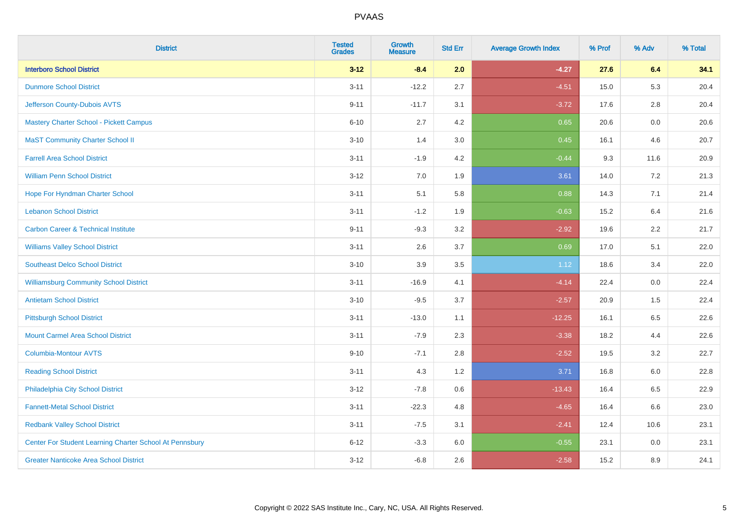| <b>District</b>                                         | <b>Tested</b><br><b>Grades</b> | Growth<br><b>Measure</b> | <b>Std Err</b> | <b>Average Growth Index</b> | % Prof | % Adv   | % Total |
|---------------------------------------------------------|--------------------------------|--------------------------|----------------|-----------------------------|--------|---------|---------|
| <b>Interboro School District</b>                        | $3 - 12$                       | $-8.4$                   | 2.0            | $-4.27$                     | 27.6   | 6.4     | 34.1    |
| <b>Dunmore School District</b>                          | $3 - 11$                       | $-12.2$                  | 2.7            | $-4.51$                     | 15.0   | 5.3     | 20.4    |
| Jefferson County-Dubois AVTS                            | $9 - 11$                       | $-11.7$                  | 3.1            | $-3.72$                     | 17.6   | 2.8     | 20.4    |
| Mastery Charter School - Pickett Campus                 | $6 - 10$                       | 2.7                      | 4.2            | 0.65                        | 20.6   | $0.0\,$ | 20.6    |
| <b>MaST Community Charter School II</b>                 | $3 - 10$                       | 1.4                      | 3.0            | 0.45                        | 16.1   | 4.6     | 20.7    |
| <b>Farrell Area School District</b>                     | $3 - 11$                       | $-1.9$                   | 4.2            | $-0.44$                     | 9.3    | 11.6    | 20.9    |
| <b>William Penn School District</b>                     | $3 - 12$                       | 7.0                      | 1.9            | 3.61                        | 14.0   | 7.2     | 21.3    |
| Hope For Hyndman Charter School                         | $3 - 11$                       | 5.1                      | 5.8            | 0.88                        | 14.3   | 7.1     | 21.4    |
| <b>Lebanon School District</b>                          | $3 - 11$                       | $-1.2$                   | 1.9            | $-0.63$                     | 15.2   | 6.4     | 21.6    |
| <b>Carbon Career &amp; Technical Institute</b>          | $9 - 11$                       | $-9.3$                   | 3.2            | $-2.92$                     | 19.6   | 2.2     | 21.7    |
| <b>Williams Valley School District</b>                  | $3 - 11$                       | 2.6                      | 3.7            | 0.69                        | 17.0   | 5.1     | 22.0    |
| <b>Southeast Delco School District</b>                  | $3 - 10$                       | 3.9                      | 3.5            | 1.12                        | 18.6   | 3.4     | 22.0    |
| <b>Williamsburg Community School District</b>           | $3 - 11$                       | $-16.9$                  | 4.1            | $-4.14$                     | 22.4   | 0.0     | 22.4    |
| <b>Antietam School District</b>                         | $3 - 10$                       | $-9.5$                   | 3.7            | $-2.57$                     | 20.9   | 1.5     | 22.4    |
| Pittsburgh School District                              | $3 - 11$                       | $-13.0$                  | 1.1            | $-12.25$                    | 16.1   | 6.5     | 22.6    |
| <b>Mount Carmel Area School District</b>                | $3 - 11$                       | $-7.9$                   | 2.3            | $-3.38$                     | 18.2   | 4.4     | 22.6    |
| Columbia-Montour AVTS                                   | $9 - 10$                       | $-7.1$                   | 2.8            | $-2.52$                     | 19.5   | 3.2     | 22.7    |
| <b>Reading School District</b>                          | $3 - 11$                       | 4.3                      | 1.2            | 3.71                        | 16.8   | 6.0     | 22.8    |
| Philadelphia City School District                       | $3 - 12$                       | $-7.8$                   | 0.6            | $-13.43$                    | 16.4   | 6.5     | 22.9    |
| <b>Fannett-Metal School District</b>                    | $3 - 11$                       | $-22.3$                  | 4.8            | $-4.65$                     | 16.4   | 6.6     | 23.0    |
| <b>Redbank Valley School District</b>                   | $3 - 11$                       | $-7.5$                   | 3.1            | $-2.41$                     | 12.4   | 10.6    | 23.1    |
| Center For Student Learning Charter School At Pennsbury | $6 - 12$                       | $-3.3$                   | 6.0            | $-0.55$                     | 23.1   | 0.0     | 23.1    |
| <b>Greater Nanticoke Area School District</b>           | $3 - 12$                       | $-6.8$                   | 2.6            | $-2.58$                     | 15.2   | 8.9     | 24.1    |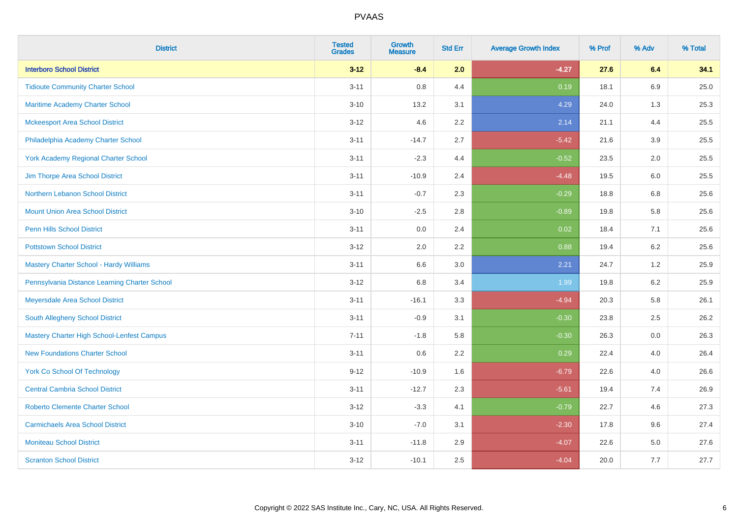| <b>District</b>                                   | <b>Tested</b><br><b>Grades</b> | <b>Growth</b><br><b>Measure</b> | <b>Std Err</b> | <b>Average Growth Index</b> | % Prof | % Adv   | % Total |
|---------------------------------------------------|--------------------------------|---------------------------------|----------------|-----------------------------|--------|---------|---------|
| <b>Interboro School District</b>                  | $3 - 12$                       | $-8.4$                          | 2.0            | $-4.27$                     | 27.6   | 6.4     | 34.1    |
| <b>Tidioute Community Charter School</b>          | $3 - 11$                       | 0.8                             | 4.4            | 0.19                        | 18.1   | 6.9     | 25.0    |
| <b>Maritime Academy Charter School</b>            | $3 - 10$                       | 13.2                            | 3.1            | 4.29                        | 24.0   | 1.3     | 25.3    |
| <b>Mckeesport Area School District</b>            | $3 - 12$                       | 4.6                             | 2.2            | 2.14                        | 21.1   | 4.4     | 25.5    |
| Philadelphia Academy Charter School               | $3 - 11$                       | $-14.7$                         | 2.7            | $-5.42$                     | 21.6   | 3.9     | 25.5    |
| <b>York Academy Regional Charter School</b>       | $3 - 11$                       | $-2.3$                          | 4.4            | $-0.52$                     | 23.5   | 2.0     | 25.5    |
| Jim Thorpe Area School District                   | $3 - 11$                       | $-10.9$                         | 2.4            | $-4.48$                     | 19.5   | 6.0     | 25.5    |
| Northern Lebanon School District                  | $3 - 11$                       | $-0.7$                          | 2.3            | $-0.29$                     | 18.8   | 6.8     | 25.6    |
| <b>Mount Union Area School District</b>           | $3 - 10$                       | $-2.5$                          | 2.8            | $-0.89$                     | 19.8   | 5.8     | 25.6    |
| <b>Penn Hills School District</b>                 | $3 - 11$                       | 0.0                             | 2.4            | 0.02                        | 18.4   | 7.1     | 25.6    |
| <b>Pottstown School District</b>                  | $3 - 12$                       | 2.0                             | 2.2            | 0.88                        | 19.4   | 6.2     | 25.6    |
| Mastery Charter School - Hardy Williams           | $3 - 11$                       | 6.6                             | 3.0            | 2.21                        | 24.7   | 1.2     | 25.9    |
| Pennsylvania Distance Learning Charter School     | $3 - 12$                       | $6.8\,$                         | 3.4            | 1.99                        | 19.8   | $6.2\,$ | 25.9    |
| Meyersdale Area School District                   | $3 - 11$                       | $-16.1$                         | 3.3            | $-4.94$                     | 20.3   | 5.8     | 26.1    |
| South Allegheny School District                   | $3 - 11$                       | $-0.9$                          | 3.1            | $-0.30$                     | 23.8   | 2.5     | 26.2    |
| <b>Mastery Charter High School-Lenfest Campus</b> | $7 - 11$                       | $-1.8$                          | 5.8            | $-0.30$                     | 26.3   | $0.0\,$ | 26.3    |
| <b>New Foundations Charter School</b>             | $3 - 11$                       | 0.6                             | 2.2            | 0.29                        | 22.4   | 4.0     | 26.4    |
| <b>York Co School Of Technology</b>               | $9 - 12$                       | $-10.9$                         | 1.6            | $-6.79$                     | 22.6   | 4.0     | 26.6    |
| <b>Central Cambria School District</b>            | $3 - 11$                       | $-12.7$                         | 2.3            | $-5.61$                     | 19.4   | 7.4     | 26.9    |
| <b>Roberto Clemente Charter School</b>            | $3 - 12$                       | $-3.3$                          | 4.1            | $-0.79$                     | 22.7   | 4.6     | 27.3    |
| <b>Carmichaels Area School District</b>           | $3 - 10$                       | $-7.0$                          | 3.1            | $-2.30$                     | 17.8   | 9.6     | 27.4    |
| <b>Moniteau School District</b>                   | $3 - 11$                       | $-11.8$                         | 2.9            | $-4.07$                     | 22.6   | 5.0     | 27.6    |
| <b>Scranton School District</b>                   | $3 - 12$                       | $-10.1$                         | 2.5            | $-4.04$                     | 20.0   | 7.7     | 27.7    |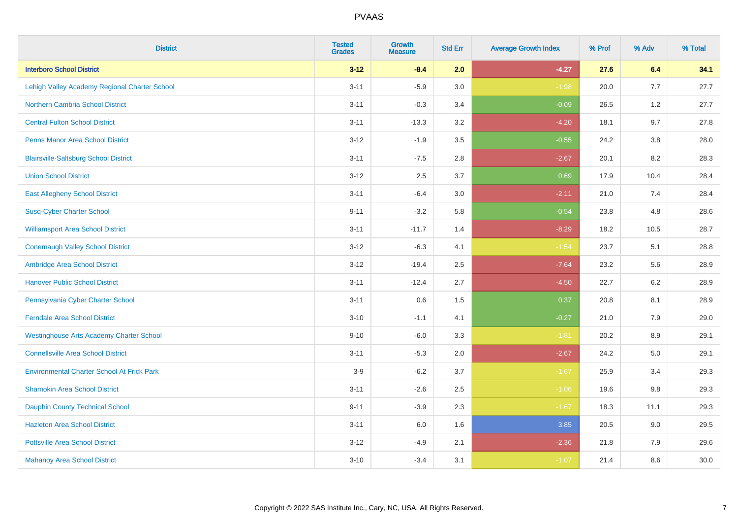| <b>District</b>                                   | <b>Tested</b><br><b>Grades</b> | <b>Growth</b><br><b>Measure</b> | <b>Std Err</b> | <b>Average Growth Index</b> | % Prof | % Adv   | % Total |
|---------------------------------------------------|--------------------------------|---------------------------------|----------------|-----------------------------|--------|---------|---------|
| <b>Interboro School District</b>                  | $3 - 12$                       | $-8.4$                          | 2.0            | $-4.27$                     | 27.6   | 6.4     | 34.1    |
| Lehigh Valley Academy Regional Charter School     | $3 - 11$                       | $-5.9$                          | 3.0            | $-1.98$                     | 20.0   | 7.7     | 27.7    |
| <b>Northern Cambria School District</b>           | $3 - 11$                       | $-0.3$                          | 3.4            | $-0.09$                     | 26.5   | 1.2     | 27.7    |
| <b>Central Fulton School District</b>             | $3 - 11$                       | $-13.3$                         | 3.2            | $-4.20$                     | 18.1   | 9.7     | 27.8    |
| <b>Penns Manor Area School District</b>           | $3 - 12$                       | $-1.9$                          | 3.5            | $-0.55$                     | 24.2   | 3.8     | 28.0    |
| <b>Blairsville-Saltsburg School District</b>      | $3 - 11$                       | $-7.5$                          | 2.8            | $-2.67$                     | 20.1   | 8.2     | 28.3    |
| <b>Union School District</b>                      | $3 - 12$                       | 2.5                             | 3.7            | 0.69                        | 17.9   | 10.4    | 28.4    |
| <b>East Allegheny School District</b>             | $3 - 11$                       | $-6.4$                          | 3.0            | $-2.11$                     | 21.0   | 7.4     | 28.4    |
| <b>Susq-Cyber Charter School</b>                  | $9 - 11$                       | $-3.2$                          | 5.8            | $-0.54$                     | 23.8   | 4.8     | 28.6    |
| <b>Williamsport Area School District</b>          | $3 - 11$                       | $-11.7$                         | 1.4            | $-8.29$                     | 18.2   | 10.5    | 28.7    |
| <b>Conemaugh Valley School District</b>           | $3 - 12$                       | $-6.3$                          | 4.1            | $-1.54$                     | 23.7   | 5.1     | 28.8    |
| Ambridge Area School District                     | $3 - 12$                       | $-19.4$                         | 2.5            | $-7.64$                     | 23.2   | 5.6     | 28.9    |
| <b>Hanover Public School District</b>             | $3 - 11$                       | $-12.4$                         | 2.7            | $-4.50$                     | 22.7   | $6.2\,$ | 28.9    |
| Pennsylvania Cyber Charter School                 | $3 - 11$                       | 0.6                             | 1.5            | 0.37                        | 20.8   | 8.1     | 28.9    |
| <b>Ferndale Area School District</b>              | $3 - 10$                       | $-1.1$                          | 4.1            | $-0.27$                     | 21.0   | 7.9     | 29.0    |
| <b>Westinghouse Arts Academy Charter School</b>   | $9 - 10$                       | $-6.0$                          | 3.3            | $-1.81$                     | 20.2   | 8.9     | 29.1    |
| <b>Connellsville Area School District</b>         | $3 - 11$                       | $-5.3$                          | 2.0            | $-2.67$                     | 24.2   | 5.0     | 29.1    |
| <b>Environmental Charter School At Frick Park</b> | $3-9$                          | $-6.2$                          | 3.7            | $-1.67$                     | 25.9   | 3.4     | 29.3    |
| <b>Shamokin Area School District</b>              | $3 - 11$                       | $-2.6$                          | 2.5            | $-1.06$                     | 19.6   | 9.8     | 29.3    |
| <b>Dauphin County Technical School</b>            | $9 - 11$                       | $-3.9$                          | 2.3            | $-1.67$                     | 18.3   | 11.1    | 29.3    |
| <b>Hazleton Area School District</b>              | $3 - 11$                       | 6.0                             | 1.6            | 3.85                        | 20.5   | 9.0     | 29.5    |
| <b>Pottsville Area School District</b>            | $3 - 12$                       | $-4.9$                          | 2.1            | $-2.36$                     | 21.8   | 7.9     | 29.6    |
| <b>Mahanoy Area School District</b>               | $3 - 10$                       | $-3.4$                          | 3.1            | $-1.07$                     | 21.4   | 8.6     | 30.0    |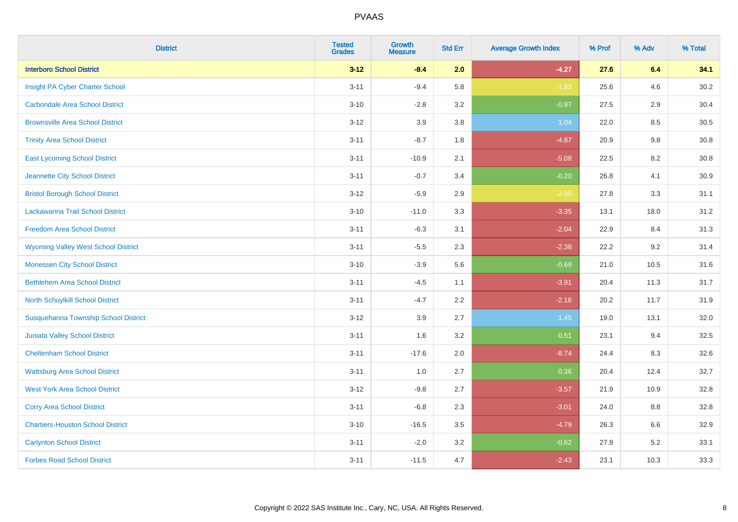| <b>District</b>                             | <b>Tested</b><br><b>Grades</b> | Growth<br><b>Measure</b> | <b>Std Err</b> | <b>Average Growth Index</b> | % Prof | % Adv   | % Total  |
|---------------------------------------------|--------------------------------|--------------------------|----------------|-----------------------------|--------|---------|----------|
| <b>Interboro School District</b>            | $3 - 12$                       | $-8.4$                   | 2.0            | $-4.27$                     | 27.6   | 6.4     | 34.1     |
| Insight PA Cyber Charter School             | $3 - 11$                       | $-9.4$                   | 5.8            | $-1.62$                     | 25.6   | 4.6     | 30.2     |
| <b>Carbondale Area School District</b>      | $3 - 10$                       | $-2.8$                   | 3.2            | $-0.87$                     | 27.5   | 2.9     | 30.4     |
| <b>Brownsville Area School District</b>     | $3 - 12$                       | 3.9                      | 3.8            | 1.04                        | 22.0   | $8.5\,$ | $30.5\,$ |
| <b>Trinity Area School District</b>         | $3 - 11$                       | $-8.7$                   | 1.8            | $-4.87$                     | 20.9   | 9.8     | 30.8     |
| <b>East Lycoming School District</b>        | $3 - 11$                       | $-10.9$                  | 2.1            | $-5.08$                     | 22.5   | 8.2     | 30.8     |
| Jeannette City School District              | $3 - 11$                       | $-0.7$                   | 3.4            | $-0.20$                     | 26.8   | 4.1     | 30.9     |
| <b>Bristol Borough School District</b>      | $3 - 12$                       | $-5.9$                   | 2.9            | $-2.00$                     | 27.8   | 3.3     | 31.1     |
| Lackawanna Trail School District            | $3 - 10$                       | $-11.0$                  | 3.3            | $-3.35$                     | 13.1   | 18.0    | 31.2     |
| <b>Freedom Area School District</b>         | $3 - 11$                       | $-6.3$                   | 3.1            | $-2.04$                     | 22.9   | 8.4     | 31.3     |
| <b>Wyoming Valley West School District</b>  | $3 - 11$                       | $-5.5$                   | 2.3            | $-2.38$                     | 22.2   | 9.2     | 31.4     |
| <b>Monessen City School District</b>        | $3 - 10$                       | $-3.9$                   | 5.6            | $-0.69$                     | 21.0   | 10.5    | 31.6     |
| <b>Bethlehem Area School District</b>       | $3 - 11$                       | $-4.5$                   | 1.1            | $-3.91$                     | 20.4   | 11.3    | 31.7     |
| North Schuylkill School District            | $3 - 11$                       | $-4.7$                   | 2.2            | $-2.16$                     | 20.2   | 11.7    | 31.9     |
| <b>Susquehanna Township School District</b> | $3 - 12$                       | 3.9                      | 2.7            | 1.45                        | 19.0   | 13.1    | 32.0     |
| <b>Juniata Valley School District</b>       | $3 - 11$                       | 1.6                      | 3.2            | 0.51                        | 23.1   | 9.4     | 32.5     |
| <b>Cheltenham School District</b>           | $3 - 11$                       | $-17.6$                  | 2.0            | $-8.74$                     | 24.4   | 8.3     | 32.6     |
| <b>Wattsburg Area School District</b>       | $3 - 11$                       | 1.0                      | 2.7            | 0.36                        | 20.4   | 12.4    | 32.7     |
| <b>West York Area School District</b>       | $3 - 12$                       | $-9.8$                   | 2.7            | $-3.57$                     | 21.9   | 10.9    | 32.8     |
| <b>Corry Area School District</b>           | $3 - 11$                       | $-6.8$                   | 2.3            | $-3.01$                     | 24.0   | 8.8     | 32.8     |
| <b>Chartiers-Houston School District</b>    | $3 - 10$                       | $-16.5$                  | 3.5            | $-4.79$                     | 26.3   | 6.6     | 32.9     |
| <b>Carlynton School District</b>            | $3 - 11$                       | $-2.0$                   | 3.2            | $-0.62$                     | 27.9   | 5.2     | 33.1     |
| <b>Forbes Road School District</b>          | $3 - 11$                       | $-11.5$                  | 4.7            | $-2.43$                     | 23.1   | 10.3    | 33.3     |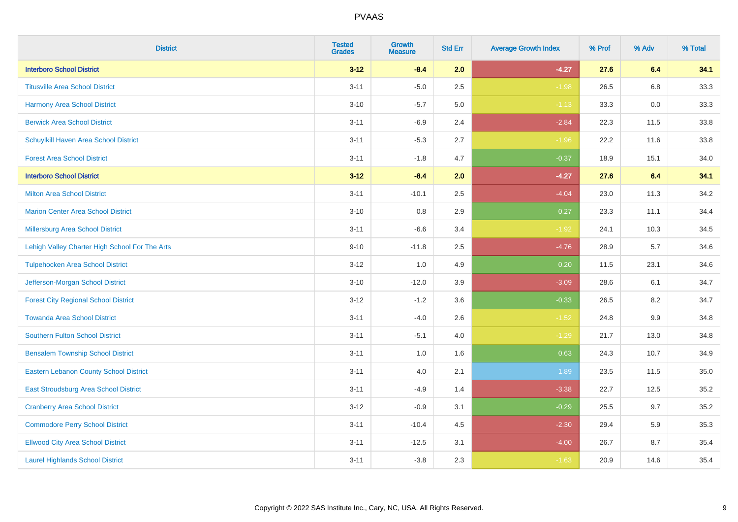| <b>District</b>                                | <b>Tested</b><br><b>Grades</b> | <b>Growth</b><br><b>Measure</b> | <b>Std Err</b> | <b>Average Growth Index</b> | % Prof | % Adv | % Total |
|------------------------------------------------|--------------------------------|---------------------------------|----------------|-----------------------------|--------|-------|---------|
| <b>Interboro School District</b>               | $3 - 12$                       | $-8.4$                          | 2.0            | $-4.27$                     | 27.6   | 6.4   | 34.1    |
| <b>Titusville Area School District</b>         | $3 - 11$                       | $-5.0$                          | 2.5            | $-1.98$                     | 26.5   | 6.8   | 33.3    |
| <b>Harmony Area School District</b>            | $3 - 10$                       | $-5.7$                          | 5.0            | $-1.13$                     | 33.3   | 0.0   | 33.3    |
| <b>Berwick Area School District</b>            | $3 - 11$                       | $-6.9$                          | 2.4            | $-2.84$                     | 22.3   | 11.5  | 33.8    |
| Schuylkill Haven Area School District          | $3 - 11$                       | $-5.3$                          | 2.7            | $-1.96$                     | 22.2   | 11.6  | 33.8    |
| <b>Forest Area School District</b>             | $3 - 11$                       | $-1.8$                          | 4.7            | $-0.37$                     | 18.9   | 15.1  | 34.0    |
| <b>Interboro School District</b>               | $3-12$                         | $-8.4$                          | 2.0            | $-4.27$                     | 27.6   | 6.4   | 34.1    |
| <b>Milton Area School District</b>             | $3 - 11$                       | $-10.1$                         | 2.5            | $-4.04$                     | 23.0   | 11.3  | 34.2    |
| <b>Marion Center Area School District</b>      | $3 - 10$                       | 0.8                             | 2.9            | 0.27                        | 23.3   | 11.1  | 34.4    |
| <b>Millersburg Area School District</b>        | $3 - 11$                       | $-6.6$                          | 3.4            | $-1.92$                     | 24.1   | 10.3  | 34.5    |
| Lehigh Valley Charter High School For The Arts | $9 - 10$                       | $-11.8$                         | 2.5            | $-4.76$                     | 28.9   | 5.7   | 34.6    |
| <b>Tulpehocken Area School District</b>        | $3 - 12$                       | 1.0                             | 4.9            | 0.20                        | 11.5   | 23.1  | 34.6    |
| Jefferson-Morgan School District               | $3 - 10$                       | $-12.0$                         | 3.9            | $-3.09$                     | 28.6   | 6.1   | 34.7    |
| <b>Forest City Regional School District</b>    | $3 - 12$                       | $-1.2$                          | 3.6            | $-0.33$                     | 26.5   | 8.2   | 34.7    |
| <b>Towanda Area School District</b>            | $3 - 11$                       | $-4.0$                          | 2.6            | $-1.52$                     | 24.8   | 9.9   | 34.8    |
| <b>Southern Fulton School District</b>         | $3 - 11$                       | $-5.1$                          | 4.0            | $-1.29$                     | 21.7   | 13.0  | 34.8    |
| <b>Bensalem Township School District</b>       | $3 - 11$                       | 1.0                             | 1.6            | 0.63                        | 24.3   | 10.7  | 34.9    |
| <b>Eastern Lebanon County School District</b>  | $3 - 11$                       | 4.0                             | 2.1            | 1.89                        | 23.5   | 11.5  | 35.0    |
| East Stroudsburg Area School District          | $3 - 11$                       | $-4.9$                          | 1.4            | $-3.38$                     | 22.7   | 12.5  | 35.2    |
| <b>Cranberry Area School District</b>          | $3 - 12$                       | $-0.9$                          | 3.1            | $-0.29$                     | 25.5   | 9.7   | 35.2    |
| <b>Commodore Perry School District</b>         | $3 - 11$                       | $-10.4$                         | 4.5            | $-2.30$                     | 29.4   | 5.9   | 35.3    |
| <b>Ellwood City Area School District</b>       | $3 - 11$                       | $-12.5$                         | 3.1            | $-4.00$                     | 26.7   | 8.7   | 35.4    |
| <b>Laurel Highlands School District</b>        | $3 - 11$                       | $-3.8$                          | 2.3            | $-1.63$                     | 20.9   | 14.6  | 35.4    |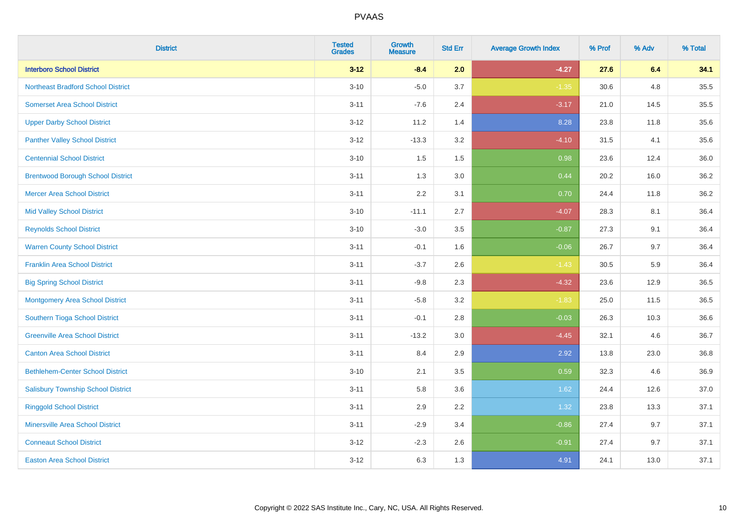| <b>District</b>                           | <b>Tested</b><br><b>Grades</b> | <b>Growth</b><br><b>Measure</b> | <b>Std Err</b> | <b>Average Growth Index</b> | % Prof | % Adv | % Total |
|-------------------------------------------|--------------------------------|---------------------------------|----------------|-----------------------------|--------|-------|---------|
| <b>Interboro School District</b>          | $3 - 12$                       | $-8.4$                          | 2.0            | $-4.27$                     | 27.6   | 6.4   | 34.1    |
| <b>Northeast Bradford School District</b> | $3 - 10$                       | $-5.0$                          | 3.7            | $-1.35$                     | 30.6   | 4.8   | 35.5    |
| <b>Somerset Area School District</b>      | $3 - 11$                       | $-7.6$                          | 2.4            | $-3.17$                     | 21.0   | 14.5  | 35.5    |
| <b>Upper Darby School District</b>        | $3 - 12$                       | 11.2                            | 1.4            | 8.28                        | 23.8   | 11.8  | 35.6    |
| <b>Panther Valley School District</b>     | $3 - 12$                       | $-13.3$                         | 3.2            | $-4.10$                     | 31.5   | 4.1   | 35.6    |
| <b>Centennial School District</b>         | $3 - 10$                       | 1.5                             | 1.5            | 0.98                        | 23.6   | 12.4  | 36.0    |
| <b>Brentwood Borough School District</b>  | $3 - 11$                       | 1.3                             | 3.0            | 0.44                        | 20.2   | 16.0  | 36.2    |
| <b>Mercer Area School District</b>        | $3 - 11$                       | 2.2                             | 3.1            | 0.70                        | 24.4   | 11.8  | 36.2    |
| <b>Mid Valley School District</b>         | $3 - 10$                       | $-11.1$                         | 2.7            | $-4.07$                     | 28.3   | 8.1   | 36.4    |
| <b>Reynolds School District</b>           | $3 - 10$                       | $-3.0$                          | 3.5            | $-0.87$                     | 27.3   | 9.1   | 36.4    |
| <b>Warren County School District</b>      | $3 - 11$                       | $-0.1$                          | 1.6            | $-0.06$                     | 26.7   | 9.7   | 36.4    |
| <b>Franklin Area School District</b>      | $3 - 11$                       | $-3.7$                          | 2.6            | $-1.43$                     | 30.5   | 5.9   | 36.4    |
| <b>Big Spring School District</b>         | $3 - 11$                       | $-9.8$                          | 2.3            | $-4.32$                     | 23.6   | 12.9  | 36.5    |
| <b>Montgomery Area School District</b>    | $3 - 11$                       | $-5.8$                          | 3.2            | $-1.83$                     | 25.0   | 11.5  | 36.5    |
| Southern Tioga School District            | $3 - 11$                       | $-0.1$                          | 2.8            | $-0.03$                     | 26.3   | 10.3  | 36.6    |
| <b>Greenville Area School District</b>    | $3 - 11$                       | $-13.2$                         | 3.0            | $-4.45$                     | 32.1   | 4.6   | 36.7    |
| <b>Canton Area School District</b>        | $3 - 11$                       | 8.4                             | 2.9            | 2.92                        | 13.8   | 23.0  | 36.8    |
| <b>Bethlehem-Center School District</b>   | $3 - 10$                       | 2.1                             | 3.5            | 0.59                        | 32.3   | 4.6   | 36.9    |
| <b>Salisbury Township School District</b> | $3 - 11$                       | 5.8                             | 3.6            | 1.62                        | 24.4   | 12.6  | 37.0    |
| <b>Ringgold School District</b>           | $3 - 11$                       | 2.9                             | 2.2            | 1.32                        | 23.8   | 13.3  | 37.1    |
| <b>Minersville Area School District</b>   | $3 - 11$                       | $-2.9$                          | 3.4            | $-0.86$                     | 27.4   | 9.7   | 37.1    |
| <b>Conneaut School District</b>           | $3 - 12$                       | $-2.3$                          | 2.6            | $-0.91$                     | 27.4   | 9.7   | 37.1    |
| <b>Easton Area School District</b>        | $3 - 12$                       | 6.3                             | 1.3            | 4.91                        | 24.1   | 13.0  | 37.1    |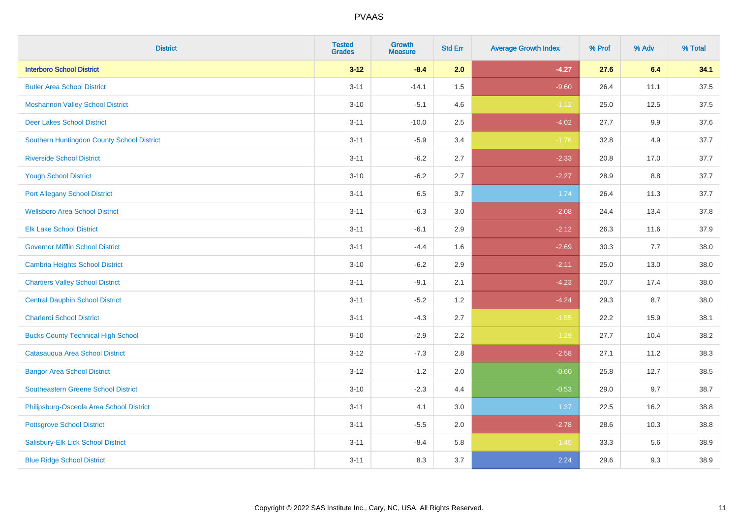| <b>District</b>                            | <b>Tested</b><br><b>Grades</b> | <b>Growth</b><br><b>Measure</b> | <b>Std Err</b> | <b>Average Growth Index</b> | % Prof | % Adv | % Total |
|--------------------------------------------|--------------------------------|---------------------------------|----------------|-----------------------------|--------|-------|---------|
| <b>Interboro School District</b>           | $3 - 12$                       | $-8.4$                          | 2.0            | $-4.27$                     | 27.6   | 6.4   | 34.1    |
| <b>Butler Area School District</b>         | $3 - 11$                       | $-14.1$                         | 1.5            | $-9.60$                     | 26.4   | 11.1  | 37.5    |
| <b>Moshannon Valley School District</b>    | $3 - 10$                       | $-5.1$                          | 4.6            | $-1.12$                     | 25.0   | 12.5  | 37.5    |
| <b>Deer Lakes School District</b>          | $3 - 11$                       | $-10.0$                         | 2.5            | $-4.02$                     | 27.7   | 9.9   | 37.6    |
| Southern Huntingdon County School District | $3 - 11$                       | $-5.9$                          | 3.4            | $-1.76$                     | 32.8   | 4.9   | 37.7    |
| <b>Riverside School District</b>           | $3 - 11$                       | $-6.2$                          | 2.7            | $-2.33$                     | 20.8   | 17.0  | 37.7    |
| <b>Yough School District</b>               | $3 - 10$                       | $-6.2$                          | 2.7            | $-2.27$                     | 28.9   | 8.8   | 37.7    |
| <b>Port Allegany School District</b>       | $3 - 11$                       | 6.5                             | 3.7            | 1.74                        | 26.4   | 11.3  | 37.7    |
| <b>Wellsboro Area School District</b>      | $3 - 11$                       | $-6.3$                          | 3.0            | $-2.08$                     | 24.4   | 13.4  | 37.8    |
| <b>Elk Lake School District</b>            | $3 - 11$                       | $-6.1$                          | 2.9            | $-2.12$                     | 26.3   | 11.6  | 37.9    |
| <b>Governor Mifflin School District</b>    | $3 - 11$                       | $-4.4$                          | 1.6            | $-2.69$                     | 30.3   | 7.7   | 38.0    |
| <b>Cambria Heights School District</b>     | $3 - 10$                       | $-6.2$                          | 2.9            | $-2.11$                     | 25.0   | 13.0  | 38.0    |
| <b>Chartiers Valley School District</b>    | $3 - 11$                       | $-9.1$                          | 2.1            | $-4.23$                     | 20.7   | 17.4  | 38.0    |
| <b>Central Dauphin School District</b>     | $3 - 11$                       | $-5.2$                          | 1.2            | $-4.24$                     | 29.3   | 8.7   | 38.0    |
| <b>Charleroi School District</b>           | $3 - 11$                       | $-4.3$                          | 2.7            | $-1.55$                     | 22.2   | 15.9  | 38.1    |
| <b>Bucks County Technical High School</b>  | $9 - 10$                       | $-2.9$                          | 2.2            | $-1.29$                     | 27.7   | 10.4  | 38.2    |
| Catasauqua Area School District            | $3 - 12$                       | $-7.3$                          | 2.8            | $-2.58$                     | 27.1   | 11.2  | 38.3    |
| <b>Bangor Area School District</b>         | $3 - 12$                       | $-1.2$                          | 2.0            | $-0.60$                     | 25.8   | 12.7  | 38.5    |
| <b>Southeastern Greene School District</b> | $3 - 10$                       | $-2.3$                          | 4.4            | $-0.53$                     | 29.0   | 9.7   | 38.7    |
| Philipsburg-Osceola Area School District   | $3 - 11$                       | 4.1                             | 3.0            | 1.37                        | 22.5   | 16.2  | 38.8    |
| <b>Pottsgrove School District</b>          | $3 - 11$                       | $-5.5$                          | 2.0            | $-2.78$                     | 28.6   | 10.3  | 38.8    |
| Salisbury-Elk Lick School District         | $3 - 11$                       | $-8.4$                          | 5.8            | $-1.45$                     | 33.3   | 5.6   | 38.9    |
| <b>Blue Ridge School District</b>          | $3 - 11$                       | 8.3                             | 3.7            | 2.24                        | 29.6   | 9.3   | 38.9    |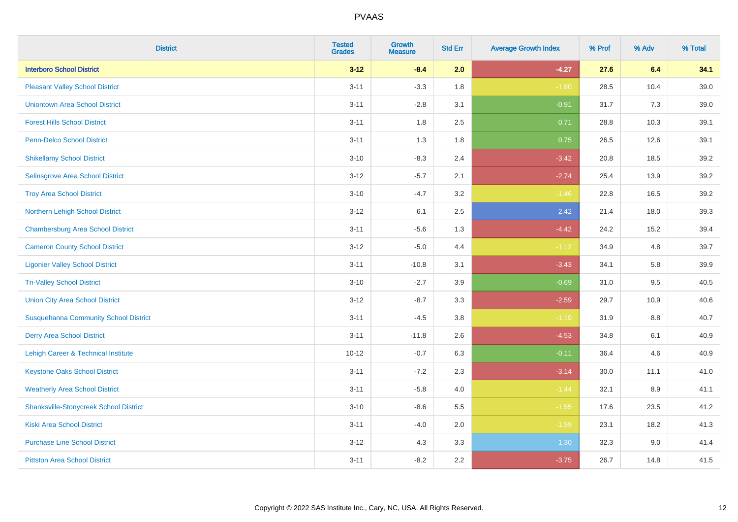| <b>District</b>                                | <b>Tested</b><br><b>Grades</b> | Growth<br><b>Measure</b> | <b>Std Err</b> | <b>Average Growth Index</b> | % Prof | % Adv   | % Total |
|------------------------------------------------|--------------------------------|--------------------------|----------------|-----------------------------|--------|---------|---------|
| <b>Interboro School District</b>               | $3 - 12$                       | $-8.4$                   | 2.0            | $-4.27$                     | 27.6   | 6.4     | 34.1    |
| <b>Pleasant Valley School District</b>         | $3 - 11$                       | $-3.3$                   | 1.8            | $-1.80$                     | 28.5   | 10.4    | 39.0    |
| <b>Uniontown Area School District</b>          | $3 - 11$                       | $-2.8$                   | 3.1            | $-0.91$                     | 31.7   | 7.3     | 39.0    |
| <b>Forest Hills School District</b>            | $3 - 11$                       | 1.8                      | 2.5            | 0.71                        | 28.8   | 10.3    | 39.1    |
| Penn-Delco School District                     | $3 - 11$                       | 1.3                      | 1.8            | 0.75                        | 26.5   | 12.6    | 39.1    |
| <b>Shikellamy School District</b>              | $3 - 10$                       | $-8.3$                   | 2.4            | $-3.42$                     | 20.8   | 18.5    | 39.2    |
| Selinsgrove Area School District               | $3-12$                         | $-5.7$                   | 2.1            | $-2.74$                     | 25.4   | 13.9    | 39.2    |
| <b>Troy Area School District</b>               | $3 - 10$                       | $-4.7$                   | 3.2            | $-1.46$                     | 22.8   | 16.5    | 39.2    |
| Northern Lehigh School District                | $3 - 12$                       | 6.1                      | 2.5            | 2.42                        | 21.4   | 18.0    | 39.3    |
| <b>Chambersburg Area School District</b>       | $3 - 11$                       | $-5.6$                   | 1.3            | $-4.42$                     | 24.2   | 15.2    | 39.4    |
| <b>Cameron County School District</b>          | $3-12$                         | $-5.0$                   | 4.4            | $-1.12$                     | 34.9   | 4.8     | 39.7    |
| <b>Ligonier Valley School District</b>         | $3 - 11$                       | $-10.8$                  | 3.1            | $-3.43$                     | 34.1   | 5.8     | 39.9    |
| <b>Tri-Valley School District</b>              | $3 - 10$                       | $-2.7$                   | 3.9            | $-0.69$                     | 31.0   | 9.5     | 40.5    |
| <b>Union City Area School District</b>         | $3 - 12$                       | $-8.7$                   | 3.3            | $-2.59$                     | 29.7   | 10.9    | 40.6    |
| <b>Susquehanna Community School District</b>   | $3 - 11$                       | $-4.5$                   | 3.8            | $-1.19$                     | 31.9   | 8.8     | 40.7    |
| <b>Derry Area School District</b>              | $3 - 11$                       | $-11.8$                  | 2.6            | $-4.53$                     | 34.8   | 6.1     | 40.9    |
| <b>Lehigh Career &amp; Technical Institute</b> | $10 - 12$                      | $-0.7$                   | 6.3            | $-0.11$                     | 36.4   | 4.6     | 40.9    |
| <b>Keystone Oaks School District</b>           | $3 - 11$                       | $-7.2$                   | 2.3            | $-3.14$                     | 30.0   | 11.1    | 41.0    |
| <b>Weatherly Area School District</b>          | $3 - 11$                       | $-5.8$                   | 4.0            | $-1.44$                     | 32.1   | $8.9\,$ | 41.1    |
| <b>Shanksville-Stonycreek School District</b>  | $3 - 10$                       | $-8.6$                   | 5.5            | $-1.55$                     | 17.6   | 23.5    | 41.2    |
| <b>Kiski Area School District</b>              | $3 - 11$                       | $-4.0$                   | 2.0            | $-1.99$                     | 23.1   | 18.2    | 41.3    |
| <b>Purchase Line School District</b>           | $3-12$                         | 4.3                      | 3.3            | 1.30                        | 32.3   | 9.0     | 41.4    |
| <b>Pittston Area School District</b>           | $3 - 11$                       | $-8.2$                   | 2.2            | $-3.75$                     | 26.7   | 14.8    | 41.5    |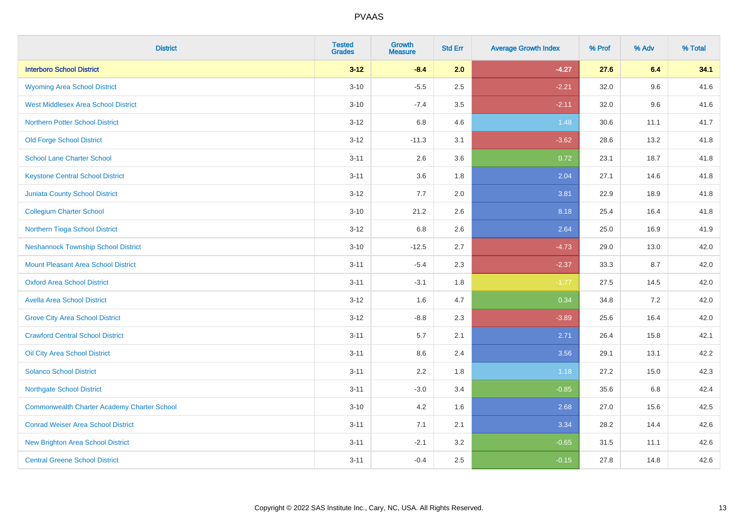| <b>District</b>                                    | <b>Tested</b><br><b>Grades</b> | <b>Growth</b><br><b>Measure</b> | <b>Std Err</b> | <b>Average Growth Index</b> | % Prof | % Adv | % Total |
|----------------------------------------------------|--------------------------------|---------------------------------|----------------|-----------------------------|--------|-------|---------|
| <b>Interboro School District</b>                   | $3 - 12$                       | $-8.4$                          | 2.0            | $-4.27$                     | 27.6   | 6.4   | 34.1    |
| <b>Wyoming Area School District</b>                | $3 - 10$                       | $-5.5$                          | 2.5            | $-2.21$                     | 32.0   | 9.6   | 41.6    |
| <b>West Middlesex Area School District</b>         | $3 - 10$                       | $-7.4$                          | 3.5            | $-2.11$                     | 32.0   | 9.6   | 41.6    |
| <b>Northern Potter School District</b>             | $3-12$                         | 6.8                             | 4.6            | 1.48                        | 30.6   | 11.1  | 41.7    |
| <b>Old Forge School District</b>                   | $3 - 12$                       | $-11.3$                         | 3.1            | $-3.62$                     | 28.6   | 13.2  | 41.8    |
| <b>School Lane Charter School</b>                  | $3 - 11$                       | 2.6                             | 3.6            | 0.72                        | 23.1   | 18.7  | 41.8    |
| <b>Keystone Central School District</b>            | $3 - 11$                       | 3.6                             | 1.8            | 2.04                        | 27.1   | 14.6  | 41.8    |
| <b>Juniata County School District</b>              | $3 - 12$                       | 7.7                             | 2.0            | 3.81                        | 22.9   | 18.9  | 41.8    |
| <b>Collegium Charter School</b>                    | $3 - 10$                       | 21.2                            | 2.6            | 8.18                        | 25.4   | 16.4  | 41.8    |
| Northern Tioga School District                     | $3 - 12$                       | 6.8                             | 2.6            | 2.64                        | 25.0   | 16.9  | 41.9    |
| <b>Neshannock Township School District</b>         | $3 - 10$                       | $-12.5$                         | 2.7            | $-4.73$                     | 29.0   | 13.0  | 42.0    |
| <b>Mount Pleasant Area School District</b>         | $3 - 11$                       | $-5.4$                          | 2.3            | $-2.37$                     | 33.3   | 8.7   | 42.0    |
| <b>Oxford Area School District</b>                 | $3 - 11$                       | $-3.1$                          | 1.8            | $-1.77$                     | 27.5   | 14.5  | 42.0    |
| <b>Avella Area School District</b>                 | $3 - 12$                       | 1.6                             | 4.7            | 0.34                        | 34.8   | 7.2   | 42.0    |
| <b>Grove City Area School District</b>             | $3 - 12$                       | $-8.8$                          | 2.3            | $-3.89$                     | 25.6   | 16.4  | 42.0    |
| <b>Crawford Central School District</b>            | $3 - 11$                       | 5.7                             | 2.1            | 2.71                        | 26.4   | 15.8  | 42.1    |
| Oil City Area School District                      | $3 - 11$                       | 8.6                             | 2.4            | 3.56                        | 29.1   | 13.1  | 42.2    |
| <b>Solanco School District</b>                     | $3 - 11$                       | 2.2                             | 1.8            | 1.18                        | 27.2   | 15.0  | 42.3    |
| <b>Northgate School District</b>                   | $3 - 11$                       | $-3.0$                          | 3.4            | $-0.85$                     | 35.6   | 6.8   | 42.4    |
| <b>Commonwealth Charter Academy Charter School</b> | $3 - 10$                       | 4.2                             | 1.6            | 2.68                        | 27.0   | 15.6  | 42.5    |
| <b>Conrad Weiser Area School District</b>          | $3 - 11$                       | 7.1                             | 2.1            | 3.34                        | 28.2   | 14.4  | 42.6    |
| <b>New Brighton Area School District</b>           | $3 - 11$                       | $-2.1$                          | 3.2            | $-0.65$                     | 31.5   | 11.1  | 42.6    |
| <b>Central Greene School District</b>              | $3 - 11$                       | $-0.4$                          | 2.5            | $-0.15$                     | 27.8   | 14.8  | 42.6    |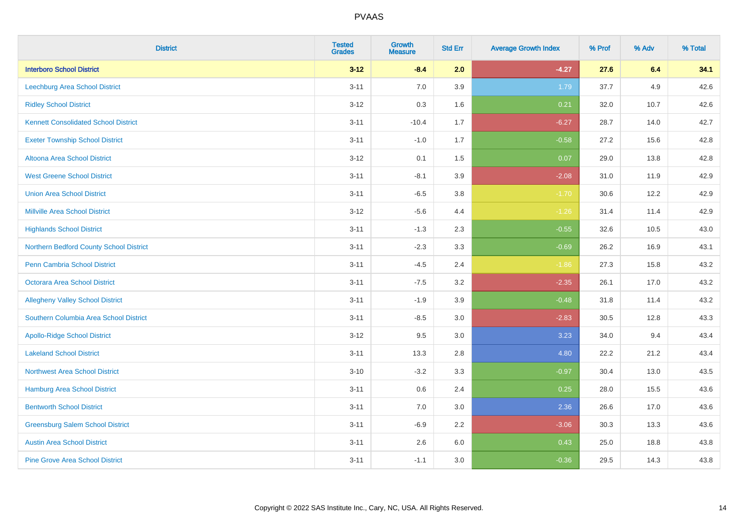| <b>District</b>                             | <b>Tested</b><br><b>Grades</b> | <b>Growth</b><br><b>Measure</b> | <b>Std Err</b> | <b>Average Growth Index</b> | % Prof | % Adv | % Total |
|---------------------------------------------|--------------------------------|---------------------------------|----------------|-----------------------------|--------|-------|---------|
| <b>Interboro School District</b>            | $3 - 12$                       | $-8.4$                          | 2.0            | $-4.27$                     | 27.6   | 6.4   | 34.1    |
| <b>Leechburg Area School District</b>       | $3 - 11$                       | 7.0                             | 3.9            | 1.79                        | 37.7   | 4.9   | 42.6    |
| <b>Ridley School District</b>               | $3 - 12$                       | 0.3                             | 1.6            | 0.21                        | 32.0   | 10.7  | 42.6    |
| <b>Kennett Consolidated School District</b> | $3 - 11$                       | $-10.4$                         | 1.7            | $-6.27$                     | 28.7   | 14.0  | 42.7    |
| <b>Exeter Township School District</b>      | $3 - 11$                       | $-1.0$                          | 1.7            | $-0.58$                     | 27.2   | 15.6  | 42.8    |
| Altoona Area School District                | $3 - 12$                       | 0.1                             | 1.5            | 0.07                        | 29.0   | 13.8  | 42.8    |
| <b>West Greene School District</b>          | $3 - 11$                       | $-8.1$                          | 3.9            | $-2.08$                     | 31.0   | 11.9  | 42.9    |
| <b>Union Area School District</b>           | $3 - 11$                       | $-6.5$                          | 3.8            | $-1.70$                     | 30.6   | 12.2  | 42.9    |
| <b>Millville Area School District</b>       | $3 - 12$                       | $-5.6$                          | 4.4            | $-1.26$                     | 31.4   | 11.4  | 42.9    |
| <b>Highlands School District</b>            | $3 - 11$                       | $-1.3$                          | 2.3            | $-0.55$                     | 32.6   | 10.5  | 43.0    |
| Northern Bedford County School District     | $3 - 11$                       | $-2.3$                          | 3.3            | $-0.69$                     | 26.2   | 16.9  | 43.1    |
| <b>Penn Cambria School District</b>         | $3 - 11$                       | $-4.5$                          | 2.4            | $-1.86$                     | 27.3   | 15.8  | 43.2    |
| Octorara Area School District               | $3 - 11$                       | $-7.5$                          | 3.2            | $-2.35$                     | 26.1   | 17.0  | 43.2    |
| <b>Allegheny Valley School District</b>     | $3 - 11$                       | $-1.9$                          | 3.9            | $-0.48$                     | 31.8   | 11.4  | 43.2    |
| Southern Columbia Area School District      | $3 - 11$                       | $-8.5$                          | 3.0            | $-2.83$                     | 30.5   | 12.8  | 43.3    |
| <b>Apollo-Ridge School District</b>         | $3 - 12$                       | 9.5                             | 3.0            | 3.23                        | 34.0   | 9.4   | 43.4    |
| <b>Lakeland School District</b>             | $3 - 11$                       | 13.3                            | 2.8            | 4.80                        | 22.2   | 21.2  | 43.4    |
| <b>Northwest Area School District</b>       | $3 - 10$                       | $-3.2$                          | 3.3            | $-0.97$                     | 30.4   | 13.0  | 43.5    |
| <b>Hamburg Area School District</b>         | $3 - 11$                       | $0.6\,$                         | 2.4            | 0.25                        | 28.0   | 15.5  | 43.6    |
| <b>Bentworth School District</b>            | $3 - 11$                       | 7.0                             | 3.0            | 2.36                        | 26.6   | 17.0  | 43.6    |
| <b>Greensburg Salem School District</b>     | $3 - 11$                       | $-6.9$                          | 2.2            | $-3.06$                     | 30.3   | 13.3  | 43.6    |
| <b>Austin Area School District</b>          | $3 - 11$                       | 2.6                             | 6.0            | 0.43                        | 25.0   | 18.8  | 43.8    |
| <b>Pine Grove Area School District</b>      | $3 - 11$                       | $-1.1$                          | 3.0            | $-0.36$                     | 29.5   | 14.3  | 43.8    |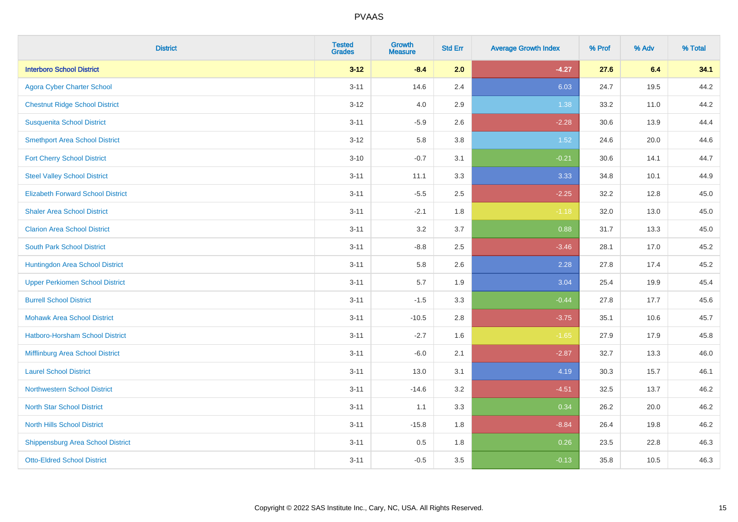| <b>District</b>                          | <b>Tested</b><br><b>Grades</b> | Growth<br><b>Measure</b> | <b>Std Err</b> | <b>Average Growth Index</b> | % Prof | % Adv | % Total |
|------------------------------------------|--------------------------------|--------------------------|----------------|-----------------------------|--------|-------|---------|
| <b>Interboro School District</b>         | $3 - 12$                       | $-8.4$                   | 2.0            | $-4.27$                     | 27.6   | 6.4   | 34.1    |
| <b>Agora Cyber Charter School</b>        | $3 - 11$                       | 14.6                     | 2.4            | 6.03                        | 24.7   | 19.5  | 44.2    |
| <b>Chestnut Ridge School District</b>    | $3 - 12$                       | 4.0                      | 2.9            | 1.38                        | 33.2   | 11.0  | 44.2    |
| <b>Susquenita School District</b>        | $3 - 11$                       | $-5.9$                   | 2.6            | $-2.28$                     | 30.6   | 13.9  | 44.4    |
| <b>Smethport Area School District</b>    | $3 - 12$                       | 5.8                      | 3.8            | 1.52                        | 24.6   | 20.0  | 44.6    |
| <b>Fort Cherry School District</b>       | $3 - 10$                       | $-0.7$                   | 3.1            | $-0.21$                     | 30.6   | 14.1  | 44.7    |
| <b>Steel Valley School District</b>      | $3 - 11$                       | 11.1                     | 3.3            | 3.33                        | 34.8   | 10.1  | 44.9    |
| <b>Elizabeth Forward School District</b> | $3 - 11$                       | $-5.5$                   | 2.5            | $-2.25$                     | 32.2   | 12.8  | 45.0    |
| <b>Shaler Area School District</b>       | $3 - 11$                       | $-2.1$                   | 1.8            | $-1.18$                     | 32.0   | 13.0  | 45.0    |
| <b>Clarion Area School District</b>      | $3 - 11$                       | 3.2                      | 3.7            | 0.88                        | 31.7   | 13.3  | 45.0    |
| <b>South Park School District</b>        | $3 - 11$                       | $-8.8$                   | 2.5            | $-3.46$                     | 28.1   | 17.0  | 45.2    |
| Huntingdon Area School District          | $3 - 11$                       | 5.8                      | 2.6            | 2.28                        | 27.8   | 17.4  | 45.2    |
| <b>Upper Perkiomen School District</b>   | $3 - 11$                       | 5.7                      | 1.9            | 3.04                        | 25.4   | 19.9  | 45.4    |
| <b>Burrell School District</b>           | $3 - 11$                       | $-1.5$                   | 3.3            | $-0.44$                     | 27.8   | 17.7  | 45.6    |
| <b>Mohawk Area School District</b>       | $3 - 11$                       | $-10.5$                  | 2.8            | $-3.75$                     | 35.1   | 10.6  | 45.7    |
| Hatboro-Horsham School District          | $3 - 11$                       | $-2.7$                   | 1.6            | $-1.65$                     | 27.9   | 17.9  | 45.8    |
| Mifflinburg Area School District         | $3 - 11$                       | $-6.0$                   | 2.1            | $-2.87$                     | 32.7   | 13.3  | 46.0    |
| <b>Laurel School District</b>            | $3 - 11$                       | 13.0                     | 3.1            | 4.19                        | 30.3   | 15.7  | 46.1    |
| Northwestern School District             | $3 - 11$                       | $-14.6$                  | 3.2            | $-4.51$                     | 32.5   | 13.7  | 46.2    |
| <b>North Star School District</b>        | $3 - 11$                       | 1.1                      | 3.3            | 0.34                        | 26.2   | 20.0  | 46.2    |
| <b>North Hills School District</b>       | $3 - 11$                       | $-15.8$                  | 1.8            | $-8.84$                     | 26.4   | 19.8  | 46.2    |
| <b>Shippensburg Area School District</b> | $3 - 11$                       | 0.5                      | 1.8            | 0.26                        | 23.5   | 22.8  | 46.3    |
| <b>Otto-Eldred School District</b>       | $3 - 11$                       | $-0.5$                   | 3.5            | $-0.13$                     | 35.8   | 10.5  | 46.3    |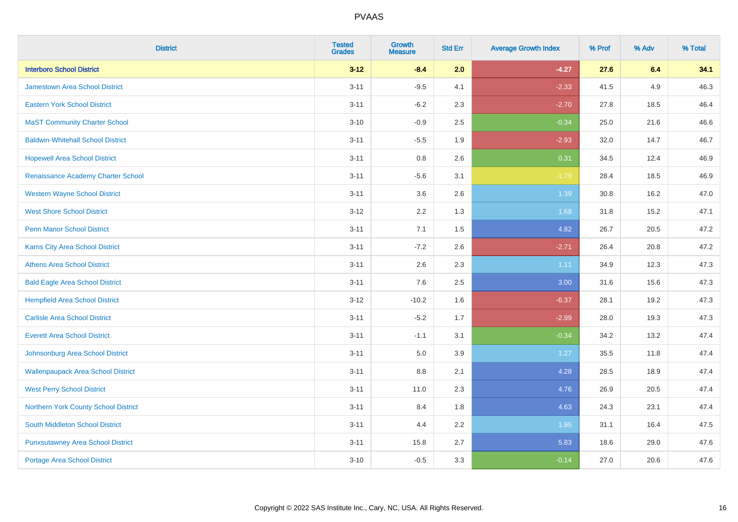| <b>District</b>                           | <b>Tested</b><br><b>Grades</b> | <b>Growth</b><br><b>Measure</b> | <b>Std Err</b> | <b>Average Growth Index</b> | % Prof | % Adv | % Total |
|-------------------------------------------|--------------------------------|---------------------------------|----------------|-----------------------------|--------|-------|---------|
| <b>Interboro School District</b>          | $3 - 12$                       | $-8.4$                          | 2.0            | $-4.27$                     | 27.6   | 6.4   | 34.1    |
| Jamestown Area School District            | $3 - 11$                       | $-9.5$                          | 4.1            | $-2.33$                     | 41.5   | 4.9   | 46.3    |
| <b>Eastern York School District</b>       | $3 - 11$                       | $-6.2$                          | 2.3            | $-2.70$                     | 27.8   | 18.5  | 46.4    |
| <b>MaST Community Charter School</b>      | $3 - 10$                       | $-0.9$                          | 2.5            | $-0.34$                     | 25.0   | 21.6  | 46.6    |
| <b>Baldwin-Whitehall School District</b>  | $3 - 11$                       | $-5.5$                          | 1.9            | $-2.93$                     | 32.0   | 14.7  | 46.7    |
| <b>Hopewell Area School District</b>      | $3 - 11$                       | 0.8                             | 2.6            | 0.31                        | 34.5   | 12.4  | 46.9    |
| Renaissance Academy Charter School        | $3 - 11$                       | $-5.6$                          | 3.1            | $-1.79$                     | 28.4   | 18.5  | 46.9    |
| <b>Western Wayne School District</b>      | $3 - 11$                       | 3.6                             | 2.6            | 1.39                        | 30.8   | 16.2  | 47.0    |
| <b>West Shore School District</b>         | $3 - 12$                       | 2.2                             | 1.3            | 1.68                        | 31.8   | 15.2  | 47.1    |
| <b>Penn Manor School District</b>         | $3 - 11$                       | 7.1                             | 1.5            | 4.82                        | 26.7   | 20.5  | 47.2    |
| Karns City Area School District           | $3 - 11$                       | $-7.2$                          | 2.6            | $-2.71$                     | 26.4   | 20.8  | 47.2    |
| <b>Athens Area School District</b>        | $3 - 11$                       | 2.6                             | 2.3            | 1.11                        | 34.9   | 12.3  | 47.3    |
| <b>Bald Eagle Area School District</b>    | $3 - 11$                       | 7.6                             | 2.5            | 3.00                        | 31.6   | 15.6  | 47.3    |
| <b>Hempfield Area School District</b>     | $3 - 12$                       | $-10.2$                         | 1.6            | $-6.37$                     | 28.1   | 19.2  | 47.3    |
| <b>Carlisle Area School District</b>      | $3 - 11$                       | $-5.2$                          | 1.7            | $-2.99$                     | 28.0   | 19.3  | 47.3    |
| <b>Everett Area School District</b>       | $3 - 11$                       | $-1.1$                          | 3.1            | $-0.34$                     | 34.2   | 13.2  | 47.4    |
| Johnsonburg Area School District          | $3 - 11$                       | 5.0                             | 3.9            | 1.27                        | 35.5   | 11.8  | 47.4    |
| <b>Wallenpaupack Area School District</b> | $3 - 11$                       | 8.8                             | 2.1            | 4.28                        | 28.5   | 18.9  | 47.4    |
| <b>West Perry School District</b>         | $3 - 11$                       | 11.0                            | 2.3            | 4.76                        | 26.9   | 20.5  | 47.4    |
| Northern York County School District      | $3 - 11$                       | 8.4                             | 1.8            | 4.63                        | 24.3   | 23.1  | 47.4    |
| South Middleton School District           | $3 - 11$                       | 4.4                             | 2.2            | 1.95                        | 31.1   | 16.4  | 47.5    |
| <b>Punxsutawney Area School District</b>  | $3 - 11$                       | 15.8                            | 2.7            | 5.83                        | 18.6   | 29.0  | 47.6    |
| Portage Area School District              | $3 - 10$                       | $-0.5$                          | 3.3            | $-0.14$                     | 27.0   | 20.6  | 47.6    |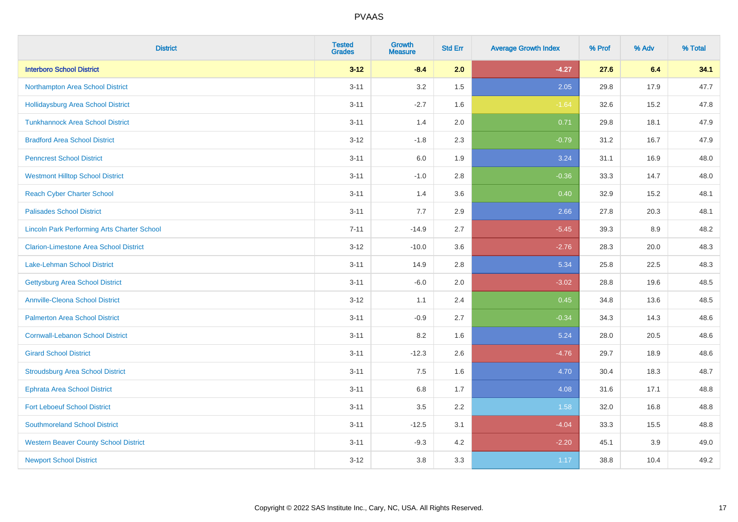| <b>District</b>                                    | <b>Tested</b><br><b>Grades</b> | <b>Growth</b><br><b>Measure</b> | <b>Std Err</b> | <b>Average Growth Index</b> | % Prof | % Adv | % Total |
|----------------------------------------------------|--------------------------------|---------------------------------|----------------|-----------------------------|--------|-------|---------|
| <b>Interboro School District</b>                   | $3 - 12$                       | $-8.4$                          | 2.0            | $-4.27$                     | 27.6   | 6.4   | 34.1    |
| Northampton Area School District                   | $3 - 11$                       | 3.2                             | 1.5            | 2.05                        | 29.8   | 17.9  | 47.7    |
| <b>Hollidaysburg Area School District</b>          | $3 - 11$                       | $-2.7$                          | 1.6            | $-1.64$                     | 32.6   | 15.2  | 47.8    |
| <b>Tunkhannock Area School District</b>            | $3 - 11$                       | 1.4                             | 2.0            | 0.71                        | 29.8   | 18.1  | 47.9    |
| <b>Bradford Area School District</b>               | $3 - 12$                       | $-1.8$                          | 2.3            | $-0.79$                     | 31.2   | 16.7  | 47.9    |
| <b>Penncrest School District</b>                   | $3 - 11$                       | 6.0                             | 1.9            | 3.24                        | 31.1   | 16.9  | 48.0    |
| <b>Westmont Hilltop School District</b>            | $3 - 11$                       | $-1.0$                          | 2.8            | $-0.36$                     | 33.3   | 14.7  | 48.0    |
| <b>Reach Cyber Charter School</b>                  | $3 - 11$                       | 1.4                             | 3.6            | 0.40                        | 32.9   | 15.2  | 48.1    |
| <b>Palisades School District</b>                   | $3 - 11$                       | 7.7                             | 2.9            | 2.66                        | 27.8   | 20.3  | 48.1    |
| <b>Lincoln Park Performing Arts Charter School</b> | $7 - 11$                       | $-14.9$                         | 2.7            | $-5.45$                     | 39.3   | 8.9   | 48.2    |
| <b>Clarion-Limestone Area School District</b>      | $3 - 12$                       | $-10.0$                         | 3.6            | $-2.76$                     | 28.3   | 20.0  | 48.3    |
| <b>Lake-Lehman School District</b>                 | $3 - 11$                       | 14.9                            | 2.8            | 5.34                        | 25.8   | 22.5  | 48.3    |
| <b>Gettysburg Area School District</b>             | $3 - 11$                       | $-6.0$                          | 2.0            | $-3.02$                     | 28.8   | 19.6  | 48.5    |
| <b>Annville-Cleona School District</b>             | $3 - 12$                       | 1.1                             | 2.4            | 0.45                        | 34.8   | 13.6  | 48.5    |
| <b>Palmerton Area School District</b>              | $3 - 11$                       | $-0.9$                          | 2.7            | $-0.34$                     | 34.3   | 14.3  | 48.6    |
| <b>Cornwall-Lebanon School District</b>            | $3 - 11$                       | 8.2                             | 1.6            | 5.24                        | 28.0   | 20.5  | 48.6    |
| <b>Girard School District</b>                      | $3 - 11$                       | $-12.3$                         | 2.6            | $-4.76$                     | 29.7   | 18.9  | 48.6    |
| <b>Stroudsburg Area School District</b>            | $3 - 11$                       | 7.5                             | 1.6            | 4.70                        | 30.4   | 18.3  | 48.7    |
| <b>Ephrata Area School District</b>                | $3 - 11$                       | $6.8\,$                         | 1.7            | 4.08                        | 31.6   | 17.1  | 48.8    |
| <b>Fort Leboeuf School District</b>                | $3 - 11$                       | 3.5                             | 2.2            | 1.58                        | 32.0   | 16.8  | 48.8    |
| <b>Southmoreland School District</b>               | $3 - 11$                       | $-12.5$                         | 3.1            | $-4.04$                     | 33.3   | 15.5  | 48.8    |
| <b>Western Beaver County School District</b>       | $3 - 11$                       | $-9.3$                          | 4.2            | $-2.20$                     | 45.1   | 3.9   | 49.0    |
| <b>Newport School District</b>                     | $3 - 12$                       | 3.8                             | 3.3            | 1.17                        | 38.8   | 10.4  | 49.2    |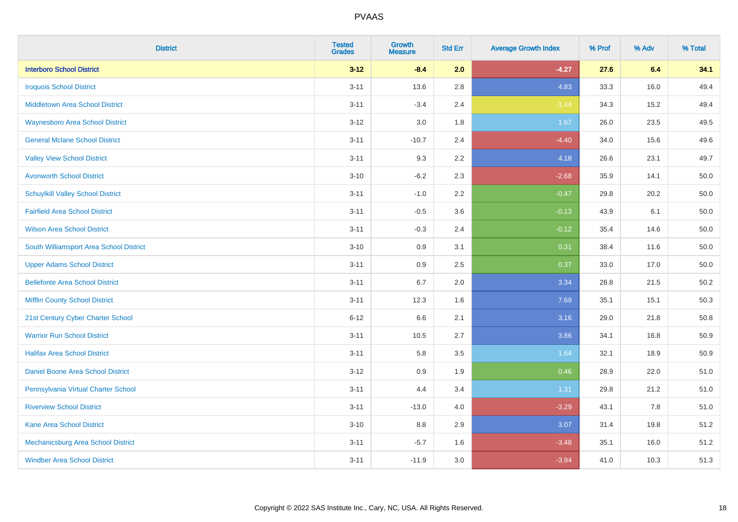| <b>District</b>                          | <b>Tested</b><br><b>Grades</b> | <b>Growth</b><br><b>Measure</b> | <b>Std Err</b> | <b>Average Growth Index</b> | % Prof | % Adv | % Total  |
|------------------------------------------|--------------------------------|---------------------------------|----------------|-----------------------------|--------|-------|----------|
| <b>Interboro School District</b>         | $3 - 12$                       | $-8.4$                          | 2.0            | $-4.27$                     | 27.6   | 6.4   | 34.1     |
| <b>Iroquois School District</b>          | $3 - 11$                       | 13.6                            | 2.8            | 4.83                        | 33.3   | 16.0  | 49.4     |
| <b>Middletown Area School District</b>   | $3 - 11$                       | $-3.4$                          | 2.4            | $-1.44$                     | 34.3   | 15.2  | 49.4     |
| <b>Waynesboro Area School District</b>   | $3 - 12$                       | 3.0                             | 1.8            | 1.67                        | 26.0   | 23.5  | 49.5     |
| <b>General Mclane School District</b>    | $3 - 11$                       | $-10.7$                         | 2.4            | $-4.40$                     | 34.0   | 15.6  | 49.6     |
| <b>Valley View School District</b>       | $3 - 11$                       | 9.3                             | 2.2            | 4.18                        | 26.6   | 23.1  | 49.7     |
| <b>Avonworth School District</b>         | $3 - 10$                       | $-6.2$                          | 2.3            | $-2.68$                     | 35.9   | 14.1  | 50.0     |
| <b>Schuylkill Valley School District</b> | $3 - 11$                       | $-1.0$                          | 2.2            | $-0.47$                     | 29.8   | 20.2  | 50.0     |
| <b>Fairfield Area School District</b>    | $3 - 11$                       | $-0.5$                          | 3.6            | $-0.13$                     | 43.9   | 6.1   | 50.0     |
| <b>Wilson Area School District</b>       | $3 - 11$                       | $-0.3$                          | 2.4            | $-0.12$                     | 35.4   | 14.6  | 50.0     |
| South Williamsport Area School District  | $3 - 10$                       | 0.9                             | 3.1            | 0.31                        | 38.4   | 11.6  | 50.0     |
| <b>Upper Adams School District</b>       | $3 - 11$                       | 0.9                             | 2.5            | 0.37                        | 33.0   | 17.0  | 50.0     |
| <b>Bellefonte Area School District</b>   | $3 - 11$                       | $6.7\,$                         | 2.0            | 3.34                        | 28.8   | 21.5  | $50.2\,$ |
| <b>Mifflin County School District</b>    | $3 - 11$                       | 12.3                            | 1.6            | 7.69                        | 35.1   | 15.1  | 50.3     |
| 21st Century Cyber Charter School        | $6 - 12$                       | 6.6                             | 2.1            | 3.16                        | 29.0   | 21.8  | 50.8     |
| <b>Warrior Run School District</b>       | $3 - 11$                       | 10.5                            | 2.7            | 3.86                        | 34.1   | 16.8  | 50.9     |
| <b>Halifax Area School District</b>      | $3 - 11$                       | 5.8                             | 3.5            | 1.64                        | 32.1   | 18.9  | 50.9     |
| <b>Daniel Boone Area School District</b> | $3 - 12$                       | 0.9                             | 1.9            | 0.46                        | 28.9   | 22.0  | 51.0     |
| Pennsylvania Virtual Charter School      | $3 - 11$                       | 4.4                             | 3.4            | 1.31                        | 29.8   | 21.2  | 51.0     |
| <b>Riverview School District</b>         | $3 - 11$                       | $-13.0$                         | 4.0            | $-3.29$                     | 43.1   | 7.8   | 51.0     |
| <b>Kane Area School District</b>         | $3 - 10$                       | 8.8                             | 2.9            | 3.07                        | 31.4   | 19.8  | 51.2     |
| Mechanicsburg Area School District       | $3 - 11$                       | $-5.7$                          | 1.6            | $-3.48$                     | 35.1   | 16.0  | 51.2     |
| <b>Windber Area School District</b>      | $3 - 11$                       | $-11.9$                         | 3.0            | $-3.94$                     | 41.0   | 10.3  | 51.3     |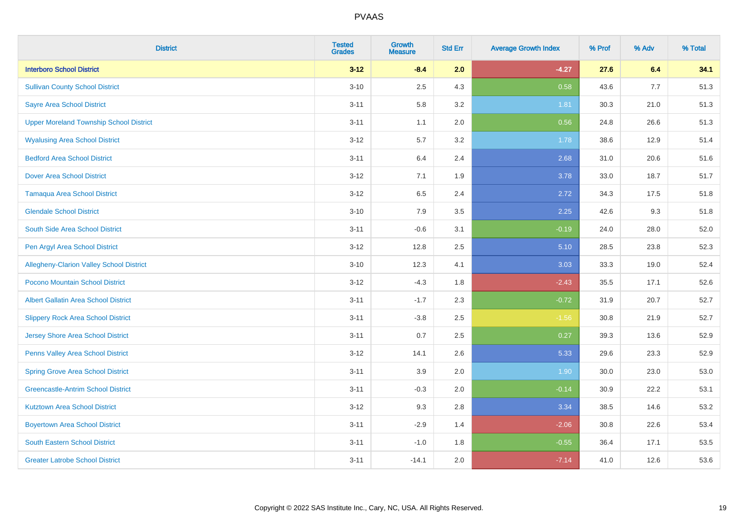| <b>District</b>                                | <b>Tested</b><br><b>Grades</b> | <b>Growth</b><br><b>Measure</b> | <b>Std Err</b> | <b>Average Growth Index</b> | % Prof | % Adv | % Total |
|------------------------------------------------|--------------------------------|---------------------------------|----------------|-----------------------------|--------|-------|---------|
| <b>Interboro School District</b>               | $3 - 12$                       | $-8.4$                          | 2.0            | $-4.27$                     | 27.6   | 6.4   | 34.1    |
| <b>Sullivan County School District</b>         | $3 - 10$                       | 2.5                             | 4.3            | 0.58                        | 43.6   | 7.7   | 51.3    |
| <b>Sayre Area School District</b>              | $3 - 11$                       | 5.8                             | 3.2            | 1.81                        | 30.3   | 21.0  | 51.3    |
| <b>Upper Moreland Township School District</b> | $3 - 11$                       | 1.1                             | 2.0            | 0.56                        | 24.8   | 26.6  | 51.3    |
| <b>Wyalusing Area School District</b>          | $3 - 12$                       | 5.7                             | 3.2            | 1.78                        | 38.6   | 12.9  | 51.4    |
| <b>Bedford Area School District</b>            | $3 - 11$                       | 6.4                             | 2.4            | 2.68                        | 31.0   | 20.6  | 51.6    |
| <b>Dover Area School District</b>              | $3 - 12$                       | 7.1                             | 1.9            | 3.78                        | 33.0   | 18.7  | 51.7    |
| <b>Tamaqua Area School District</b>            | $3 - 12$                       | 6.5                             | 2.4            | 2.72                        | 34.3   | 17.5  | 51.8    |
| <b>Glendale School District</b>                | $3 - 10$                       | 7.9                             | 3.5            | 2.25                        | 42.6   | 9.3   | 51.8    |
| South Side Area School District                | $3 - 11$                       | $-0.6$                          | 3.1            | $-0.19$                     | 24.0   | 28.0  | 52.0    |
| Pen Argyl Area School District                 | $3 - 12$                       | 12.8                            | 2.5            | 5.10                        | 28.5   | 23.8  | 52.3    |
| Allegheny-Clarion Valley School District       | $3 - 10$                       | 12.3                            | 4.1            | 3.03                        | 33.3   | 19.0  | 52.4    |
| Pocono Mountain School District                | $3 - 12$                       | $-4.3$                          | 1.8            | $-2.43$                     | 35.5   | 17.1  | 52.6    |
| <b>Albert Gallatin Area School District</b>    | $3 - 11$                       | $-1.7$                          | 2.3            | $-0.72$                     | 31.9   | 20.7  | 52.7    |
| <b>Slippery Rock Area School District</b>      | $3 - 11$                       | $-3.8$                          | 2.5            | $-1.56$                     | 30.8   | 21.9  | 52.7    |
| <b>Jersey Shore Area School District</b>       | $3 - 11$                       | 0.7                             | 2.5            | 0.27                        | 39.3   | 13.6  | 52.9    |
| Penns Valley Area School District              | $3 - 12$                       | 14.1                            | 2.6            | 5.33                        | 29.6   | 23.3  | 52.9    |
| <b>Spring Grove Area School District</b>       | $3 - 11$                       | 3.9                             | 2.0            | 1.90                        | 30.0   | 23.0  | 53.0    |
| <b>Greencastle-Antrim School District</b>      | $3 - 11$                       | $-0.3$                          | 2.0            | $-0.14$                     | 30.9   | 22.2  | 53.1    |
| <b>Kutztown Area School District</b>           | $3 - 12$                       | 9.3                             | 2.8            | 3.34                        | 38.5   | 14.6  | 53.2    |
| <b>Boyertown Area School District</b>          | $3 - 11$                       | $-2.9$                          | 1.4            | $-2.06$                     | 30.8   | 22.6  | 53.4    |
| South Eastern School District                  | $3 - 11$                       | $-1.0$                          | 1.8            | $-0.55$                     | 36.4   | 17.1  | 53.5    |
| <b>Greater Latrobe School District</b>         | $3 - 11$                       | $-14.1$                         | 2.0            | $-7.14$                     | 41.0   | 12.6  | 53.6    |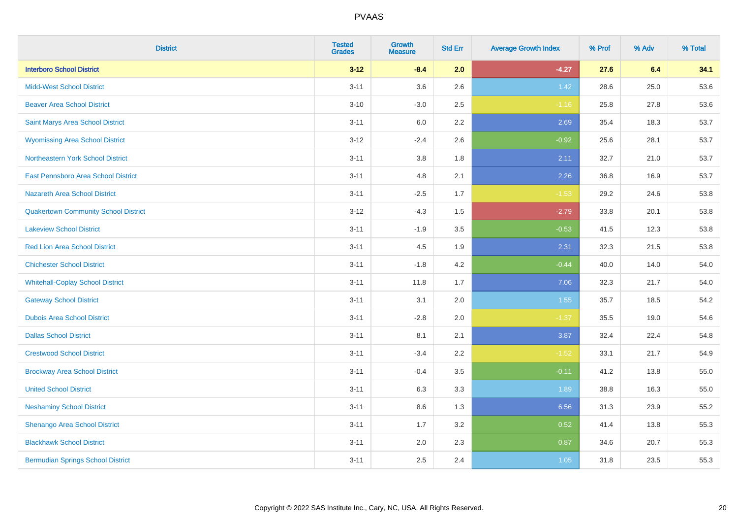| <b>District</b>                             | <b>Tested</b><br><b>Grades</b> | <b>Growth</b><br><b>Measure</b> | <b>Std Err</b> | <b>Average Growth Index</b> | % Prof | % Adv | % Total |
|---------------------------------------------|--------------------------------|---------------------------------|----------------|-----------------------------|--------|-------|---------|
| <b>Interboro School District</b>            | $3 - 12$                       | $-8.4$                          | 2.0            | $-4.27$                     | 27.6   | 6.4   | 34.1    |
| <b>Midd-West School District</b>            | $3 - 11$                       | 3.6                             | 2.6            | 1.42                        | 28.6   | 25.0  | 53.6    |
| <b>Beaver Area School District</b>          | $3 - 10$                       | $-3.0$                          | 2.5            | $-1.16$                     | 25.8   | 27.8  | 53.6    |
| Saint Marys Area School District            | $3 - 11$                       | $6.0\,$                         | 2.2            | 2.69                        | 35.4   | 18.3  | 53.7    |
| <b>Wyomissing Area School District</b>      | $3 - 12$                       | $-2.4$                          | 2.6            | $-0.92$                     | 25.6   | 28.1  | 53.7    |
| Northeastern York School District           | $3 - 11$                       | $3.8\,$                         | 1.8            | 2.11                        | 32.7   | 21.0  | 53.7    |
| East Pennsboro Area School District         | $3 - 11$                       | 4.8                             | 2.1            | 2.26                        | 36.8   | 16.9  | 53.7    |
| <b>Nazareth Area School District</b>        | $3 - 11$                       | $-2.5$                          | 1.7            | $-1.53$                     | 29.2   | 24.6  | 53.8    |
| <b>Quakertown Community School District</b> | $3-12$                         | $-4.3$                          | 1.5            | $-2.79$                     | 33.8   | 20.1  | 53.8    |
| <b>Lakeview School District</b>             | $3 - 11$                       | $-1.9$                          | 3.5            | $-0.53$                     | 41.5   | 12.3  | 53.8    |
| <b>Red Lion Area School District</b>        | $3 - 11$                       | 4.5                             | 1.9            | 2.31                        | 32.3   | 21.5  | 53.8    |
| <b>Chichester School District</b>           | $3 - 11$                       | $-1.8$                          | 4.2            | $-0.44$                     | 40.0   | 14.0  | 54.0    |
| <b>Whitehall-Coplay School District</b>     | $3 - 11$                       | 11.8                            | 1.7            | 7.06                        | 32.3   | 21.7  | 54.0    |
| <b>Gateway School District</b>              | $3 - 11$                       | 3.1                             | 2.0            | 1.55                        | 35.7   | 18.5  | 54.2    |
| <b>Dubois Area School District</b>          | $3 - 11$                       | $-2.8$                          | 2.0            | $-1.37$                     | 35.5   | 19.0  | 54.6    |
| <b>Dallas School District</b>               | $3 - 11$                       | 8.1                             | 2.1            | 3.87                        | 32.4   | 22.4  | 54.8    |
| <b>Crestwood School District</b>            | $3 - 11$                       | $-3.4$                          | 2.2            | $-1.52$                     | 33.1   | 21.7  | 54.9    |
| <b>Brockway Area School District</b>        | $3 - 11$                       | $-0.4$                          | 3.5            | $-0.11$                     | 41.2   | 13.8  | 55.0    |
| <b>United School District</b>               | $3 - 11$                       | 6.3                             | 3.3            | 1.89                        | 38.8   | 16.3  | 55.0    |
| <b>Neshaminy School District</b>            | $3 - 11$                       | 8.6                             | 1.3            | 6.56                        | 31.3   | 23.9  | 55.2    |
| Shenango Area School District               | $3 - 11$                       | 1.7                             | 3.2            | 0.52                        | 41.4   | 13.8  | 55.3    |
| <b>Blackhawk School District</b>            | $3 - 11$                       | 2.0                             | 2.3            | 0.87                        | 34.6   | 20.7  | 55.3    |
| <b>Bermudian Springs School District</b>    | $3 - 11$                       | 2.5                             | 2.4            | 1.05                        | 31.8   | 23.5  | 55.3    |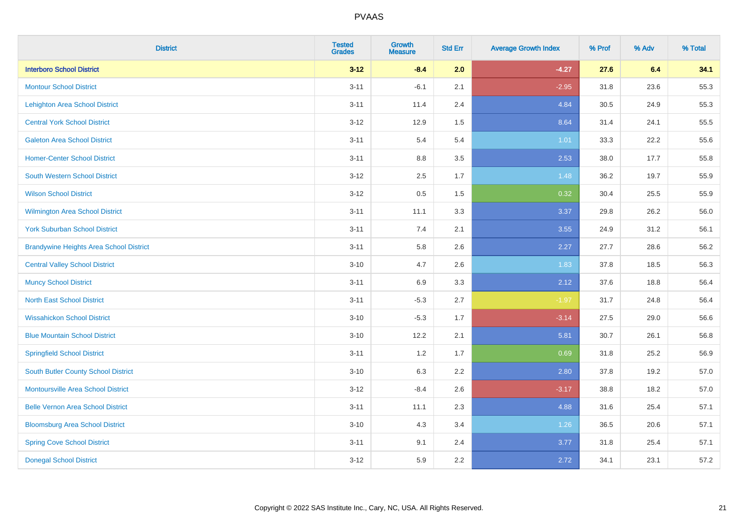| <b>District</b>                                | <b>Tested</b><br><b>Grades</b> | <b>Growth</b><br><b>Measure</b> | <b>Std Err</b> | <b>Average Growth Index</b> | % Prof | % Adv | % Total |
|------------------------------------------------|--------------------------------|---------------------------------|----------------|-----------------------------|--------|-------|---------|
| <b>Interboro School District</b>               | $3 - 12$                       | $-8.4$                          | 2.0            | $-4.27$                     | 27.6   | 6.4   | 34.1    |
| <b>Montour School District</b>                 | $3 - 11$                       | $-6.1$                          | 2.1            | $-2.95$                     | 31.8   | 23.6  | 55.3    |
| <b>Lehighton Area School District</b>          | $3 - 11$                       | 11.4                            | 2.4            | 4.84                        | 30.5   | 24.9  | 55.3    |
| <b>Central York School District</b>            | $3 - 12$                       | 12.9                            | 1.5            | 8.64                        | 31.4   | 24.1  | 55.5    |
| <b>Galeton Area School District</b>            | $3 - 11$                       | 5.4                             | 5.4            | 1.01                        | 33.3   | 22.2  | 55.6    |
| <b>Homer-Center School District</b>            | $3 - 11$                       | 8.8                             | 3.5            | 2.53                        | 38.0   | 17.7  | 55.8    |
| South Western School District                  | $3 - 12$                       | 2.5                             | 1.7            | 1.48                        | 36.2   | 19.7  | 55.9    |
| <b>Wilson School District</b>                  | $3 - 12$                       | $0.5\,$                         | 1.5            | 0.32                        | 30.4   | 25.5  | 55.9    |
| <b>Wilmington Area School District</b>         | $3 - 11$                       | 11.1                            | 3.3            | 3.37                        | 29.8   | 26.2  | 56.0    |
| <b>York Suburban School District</b>           | $3 - 11$                       | 7.4                             | 2.1            | 3.55                        | 24.9   | 31.2  | 56.1    |
| <b>Brandywine Heights Area School District</b> | $3 - 11$                       | 5.8                             | 2.6            | 2.27                        | 27.7   | 28.6  | 56.2    |
| <b>Central Valley School District</b>          | $3 - 10$                       | 4.7                             | 2.6            | 1.83                        | 37.8   | 18.5  | 56.3    |
| <b>Muncy School District</b>                   | $3 - 11$                       | 6.9                             | 3.3            | 2.12                        | 37.6   | 18.8  | 56.4    |
| <b>North East School District</b>              | $3 - 11$                       | $-5.3$                          | 2.7            | $-1.97$                     | 31.7   | 24.8  | 56.4    |
| <b>Wissahickon School District</b>             | $3 - 10$                       | $-5.3$                          | 1.7            | $-3.14$                     | 27.5   | 29.0  | 56.6    |
| <b>Blue Mountain School District</b>           | $3 - 10$                       | 12.2                            | 2.1            | 5.81                        | 30.7   | 26.1  | 56.8    |
| <b>Springfield School District</b>             | $3 - 11$                       | 1.2                             | 1.7            | 0.69                        | 31.8   | 25.2  | 56.9    |
| <b>South Butler County School District</b>     | $3 - 10$                       | 6.3                             | 2.2            | 2.80                        | 37.8   | 19.2  | 57.0    |
| <b>Montoursville Area School District</b>      | $3 - 12$                       | $-8.4$                          | 2.6            | $-3.17$                     | 38.8   | 18.2  | 57.0    |
| <b>Belle Vernon Area School District</b>       | $3 - 11$                       | 11.1                            | 2.3            | 4.88                        | 31.6   | 25.4  | 57.1    |
| <b>Bloomsburg Area School District</b>         | $3 - 10$                       | 4.3                             | 3.4            | 1.26                        | 36.5   | 20.6  | 57.1    |
| <b>Spring Cove School District</b>             | $3 - 11$                       | 9.1                             | 2.4            | 3.77                        | 31.8   | 25.4  | 57.1    |
| <b>Donegal School District</b>                 | $3-12$                         | 5.9                             | 2.2            | 2.72                        | 34.1   | 23.1  | 57.2    |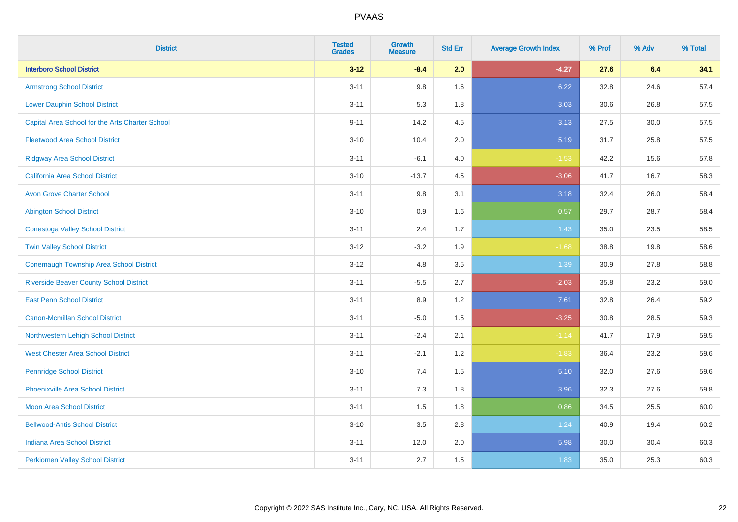| <b>District</b>                                 | <b>Tested</b><br><b>Grades</b> | <b>Growth</b><br><b>Measure</b> | <b>Std Err</b> | <b>Average Growth Index</b> | % Prof | % Adv | % Total |
|-------------------------------------------------|--------------------------------|---------------------------------|----------------|-----------------------------|--------|-------|---------|
| <b>Interboro School District</b>                | $3 - 12$                       | $-8.4$                          | 2.0            | $-4.27$                     | 27.6   | 6.4   | 34.1    |
| <b>Armstrong School District</b>                | $3 - 11$                       | 9.8                             | 1.6            | 6.22                        | 32.8   | 24.6  | 57.4    |
| <b>Lower Dauphin School District</b>            | $3 - 11$                       | 5.3                             | 1.8            | 3.03                        | 30.6   | 26.8  | 57.5    |
| Capital Area School for the Arts Charter School | $9 - 11$                       | 14.2                            | 4.5            | 3.13                        | 27.5   | 30.0  | 57.5    |
| <b>Fleetwood Area School District</b>           | $3 - 10$                       | 10.4                            | 2.0            | 5.19                        | 31.7   | 25.8  | 57.5    |
| <b>Ridgway Area School District</b>             | $3 - 11$                       | $-6.1$                          | 4.0            | $-1.53$                     | 42.2   | 15.6  | 57.8    |
| California Area School District                 | $3 - 10$                       | $-13.7$                         | 4.5            | $-3.06$                     | 41.7   | 16.7  | 58.3    |
| <b>Avon Grove Charter School</b>                | $3 - 11$                       | 9.8                             | 3.1            | 3.18                        | 32.4   | 26.0  | 58.4    |
| <b>Abington School District</b>                 | $3 - 10$                       | 0.9                             | 1.6            | 0.57                        | 29.7   | 28.7  | 58.4    |
| <b>Conestoga Valley School District</b>         | $3 - 11$                       | 2.4                             | 1.7            | 1.43                        | 35.0   | 23.5  | 58.5    |
| <b>Twin Valley School District</b>              | $3 - 12$                       | $-3.2$                          | 1.9            | $-1.68$                     | 38.8   | 19.8  | 58.6    |
| <b>Conemaugh Township Area School District</b>  | $3 - 12$                       | 4.8                             | 3.5            | 1.39                        | 30.9   | 27.8  | 58.8    |
| <b>Riverside Beaver County School District</b>  | $3 - 11$                       | $-5.5$                          | 2.7            | $-2.03$                     | 35.8   | 23.2  | 59.0    |
| <b>East Penn School District</b>                | $3 - 11$                       | 8.9                             | 1.2            | 7.61                        | 32.8   | 26.4  | 59.2    |
| <b>Canon-Mcmillan School District</b>           | $3 - 11$                       | $-5.0$                          | 1.5            | $-3.25$                     | 30.8   | 28.5  | 59.3    |
| Northwestern Lehigh School District             | $3 - 11$                       | $-2.4$                          | 2.1            | $-1.14$                     | 41.7   | 17.9  | 59.5    |
| <b>West Chester Area School District</b>        | $3 - 11$                       | $-2.1$                          | 1.2            | $-1.83$                     | 36.4   | 23.2  | 59.6    |
| <b>Pennridge School District</b>                | $3 - 10$                       | 7.4                             | 1.5            | 5.10                        | 32.0   | 27.6  | 59.6    |
| <b>Phoenixville Area School District</b>        | $3 - 11$                       | 7.3                             | 1.8            | 3.96                        | 32.3   | 27.6  | 59.8    |
| <b>Moon Area School District</b>                | $3 - 11$                       | 1.5                             | 1.8            | 0.86                        | 34.5   | 25.5  | 60.0    |
| <b>Bellwood-Antis School District</b>           | $3 - 10$                       | 3.5                             | 2.8            | 1.24                        | 40.9   | 19.4  | 60.2    |
| <b>Indiana Area School District</b>             | $3 - 11$                       | 12.0                            | 2.0            | 5.98                        | 30.0   | 30.4  | 60.3    |
| <b>Perkiomen Valley School District</b>         | $3 - 11$                       | 2.7                             | 1.5            | 1.83                        | 35.0   | 25.3  | 60.3    |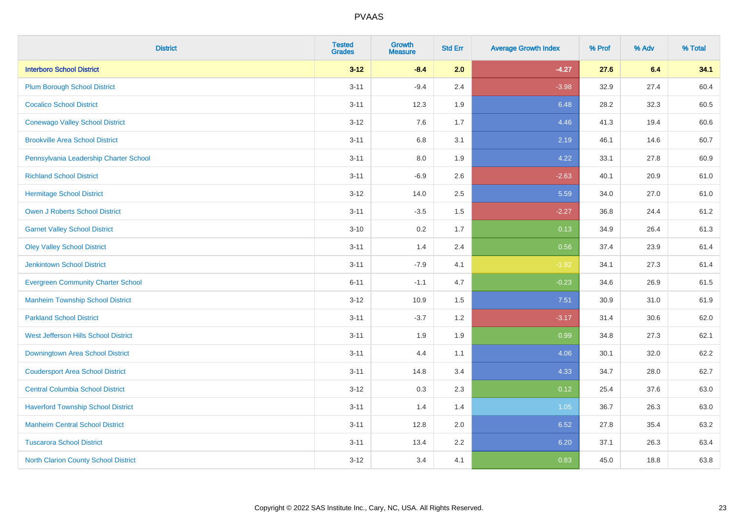| <b>District</b>                             | <b>Tested</b><br><b>Grades</b> | <b>Growth</b><br><b>Measure</b> | <b>Std Err</b> | <b>Average Growth Index</b> | % Prof | % Adv | % Total |
|---------------------------------------------|--------------------------------|---------------------------------|----------------|-----------------------------|--------|-------|---------|
| <b>Interboro School District</b>            | $3 - 12$                       | $-8.4$                          | 2.0            | $-4.27$                     | 27.6   | 6.4   | 34.1    |
| <b>Plum Borough School District</b>         | $3 - 11$                       | $-9.4$                          | 2.4            | $-3.98$                     | 32.9   | 27.4  | 60.4    |
| <b>Cocalico School District</b>             | $3 - 11$                       | 12.3                            | 1.9            | 6.48                        | 28.2   | 32.3  | 60.5    |
| <b>Conewago Valley School District</b>      | $3 - 12$                       | 7.6                             | 1.7            | 4.46                        | 41.3   | 19.4  | 60.6    |
| <b>Brookville Area School District</b>      | $3 - 11$                       | 6.8                             | 3.1            | 2.19                        | 46.1   | 14.6  | 60.7    |
| Pennsylvania Leadership Charter School      | $3 - 11$                       | $8.0\,$                         | 1.9            | 4.22                        | 33.1   | 27.8  | 60.9    |
| <b>Richland School District</b>             | $3 - 11$                       | $-6.9$                          | 2.6            | $-2.63$                     | 40.1   | 20.9  | 61.0    |
| <b>Hermitage School District</b>            | $3 - 12$                       | 14.0                            | 2.5            | 5.59                        | 34.0   | 27.0  | 61.0    |
| <b>Owen J Roberts School District</b>       | $3 - 11$                       | $-3.5$                          | 1.5            | $-2.27$                     | 36.8   | 24.4  | 61.2    |
| <b>Garnet Valley School District</b>        | $3 - 10$                       | $0.2\,$                         | 1.7            | 0.13                        | 34.9   | 26.4  | 61.3    |
| <b>Oley Valley School District</b>          | $3 - 11$                       | 1.4                             | 2.4            | 0.56                        | 37.4   | 23.9  | 61.4    |
| <b>Jenkintown School District</b>           | $3 - 11$                       | $-7.9$                          | 4.1            | $-1.92$                     | 34.1   | 27.3  | 61.4    |
| <b>Evergreen Community Charter School</b>   | $6 - 11$                       | $-1.1$                          | 4.7            | $-0.23$                     | 34.6   | 26.9  | 61.5    |
| <b>Manheim Township School District</b>     | $3 - 12$                       | 10.9                            | 1.5            | 7.51                        | 30.9   | 31.0  | 61.9    |
| <b>Parkland School District</b>             | $3 - 11$                       | $-3.7$                          | 1.2            | $-3.17$                     | 31.4   | 30.6  | 62.0    |
| <b>West Jefferson Hills School District</b> | $3 - 11$                       | 1.9                             | 1.9            | 0.99                        | 34.8   | 27.3  | 62.1    |
| Downingtown Area School District            | $3 - 11$                       | 4.4                             | 1.1            | 4.06                        | 30.1   | 32.0  | 62.2    |
| <b>Coudersport Area School District</b>     | $3 - 11$                       | 14.8                            | 3.4            | 4.33                        | 34.7   | 28.0  | 62.7    |
| <b>Central Columbia School District</b>     | $3 - 12$                       | 0.3                             | 2.3            | 0.12                        | 25.4   | 37.6  | 63.0    |
| <b>Haverford Township School District</b>   | $3 - 11$                       | 1.4                             | 1.4            | 1.05                        | 36.7   | 26.3  | 63.0    |
| <b>Manheim Central School District</b>      | $3 - 11$                       | 12.8                            | 2.0            | 6.52                        | 27.8   | 35.4  | 63.2    |
| <b>Tuscarora School District</b>            | $3 - 11$                       | 13.4                            | 2.2            | 6.20                        | 37.1   | 26.3  | 63.4    |
| <b>North Clarion County School District</b> | $3 - 12$                       | 3.4                             | 4.1            | 0.83                        | 45.0   | 18.8  | 63.8    |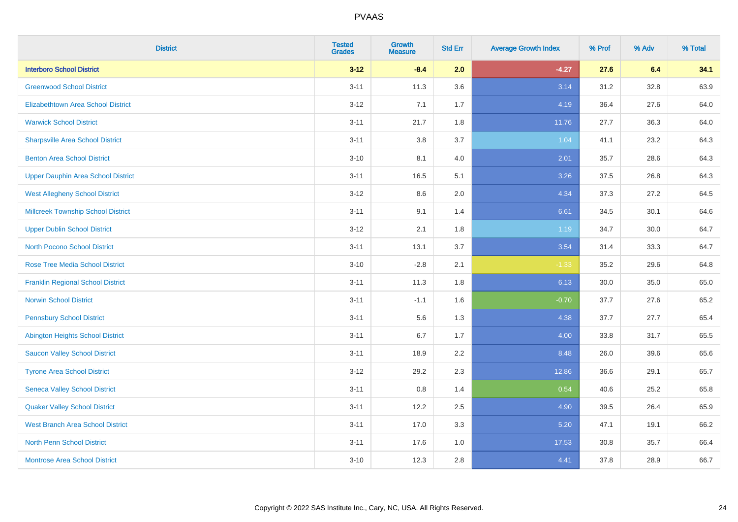| <b>District</b>                           | <b>Tested</b><br><b>Grades</b> | <b>Growth</b><br><b>Measure</b> | <b>Std Err</b> | <b>Average Growth Index</b> | % Prof | % Adv    | % Total |
|-------------------------------------------|--------------------------------|---------------------------------|----------------|-----------------------------|--------|----------|---------|
| <b>Interboro School District</b>          | $3 - 12$                       | $-8.4$                          | 2.0            | $-4.27$                     | 27.6   | 6.4      | 34.1    |
| <b>Greenwood School District</b>          | $3 - 11$                       | 11.3                            | 3.6            | 3.14                        | 31.2   | 32.8     | 63.9    |
| <b>Elizabethtown Area School District</b> | $3 - 12$                       | 7.1                             | 1.7            | 4.19                        | 36.4   | 27.6     | 64.0    |
| <b>Warwick School District</b>            | $3 - 11$                       | 21.7                            | 1.8            | 11.76                       | 27.7   | 36.3     | 64.0    |
| <b>Sharpsville Area School District</b>   | $3 - 11$                       | 3.8                             | 3.7            | 1.04                        | 41.1   | 23.2     | 64.3    |
| <b>Benton Area School District</b>        | $3 - 10$                       | 8.1                             | 4.0            | 2.01                        | 35.7   | 28.6     | 64.3    |
| <b>Upper Dauphin Area School District</b> | $3 - 11$                       | 16.5                            | 5.1            | 3.26                        | 37.5   | 26.8     | 64.3    |
| <b>West Allegheny School District</b>     | $3 - 12$                       | 8.6                             | 2.0            | 4.34                        | 37.3   | 27.2     | 64.5    |
| <b>Millcreek Township School District</b> | $3 - 11$                       | 9.1                             | 1.4            | 6.61                        | 34.5   | 30.1     | 64.6    |
| <b>Upper Dublin School District</b>       | $3 - 12$                       | 2.1                             | 1.8            | 1.19                        | 34.7   | $30.0\,$ | 64.7    |
| <b>North Pocono School District</b>       | $3 - 11$                       | 13.1                            | 3.7            | 3.54                        | 31.4   | 33.3     | 64.7    |
| <b>Rose Tree Media School District</b>    | $3 - 10$                       | $-2.8$                          | 2.1            | $-1.33$                     | 35.2   | 29.6     | 64.8    |
| <b>Franklin Regional School District</b>  | $3 - 11$                       | 11.3                            | 1.8            | 6.13                        | 30.0   | 35.0     | 65.0    |
| <b>Norwin School District</b>             | $3 - 11$                       | $-1.1$                          | 1.6            | $-0.70$                     | 37.7   | 27.6     | 65.2    |
| <b>Pennsbury School District</b>          | $3 - 11$                       | 5.6                             | 1.3            | 4.38                        | 37.7   | 27.7     | 65.4    |
| <b>Abington Heights School District</b>   | $3 - 11$                       | 6.7                             | 1.7            | 4.00                        | 33.8   | 31.7     | 65.5    |
| <b>Saucon Valley School District</b>      | $3 - 11$                       | 18.9                            | 2.2            | 8.48                        | 26.0   | 39.6     | 65.6    |
| <b>Tyrone Area School District</b>        | $3 - 12$                       | 29.2                            | 2.3            | 12.86                       | 36.6   | 29.1     | 65.7    |
| <b>Seneca Valley School District</b>      | $3 - 11$                       | 0.8                             | 1.4            | 0.54                        | 40.6   | 25.2     | 65.8    |
| <b>Quaker Valley School District</b>      | $3 - 11$                       | 12.2                            | 2.5            | 4.90                        | 39.5   | 26.4     | 65.9    |
| <b>West Branch Area School District</b>   | $3 - 11$                       | 17.0                            | 3.3            | 5.20                        | 47.1   | 19.1     | 66.2    |
| North Penn School District                | $3 - 11$                       | 17.6                            | 1.0            | 17.53                       | 30.8   | 35.7     | 66.4    |
| <b>Montrose Area School District</b>      | $3 - 10$                       | 12.3                            | 2.8            | 4.41                        | 37.8   | 28.9     | 66.7    |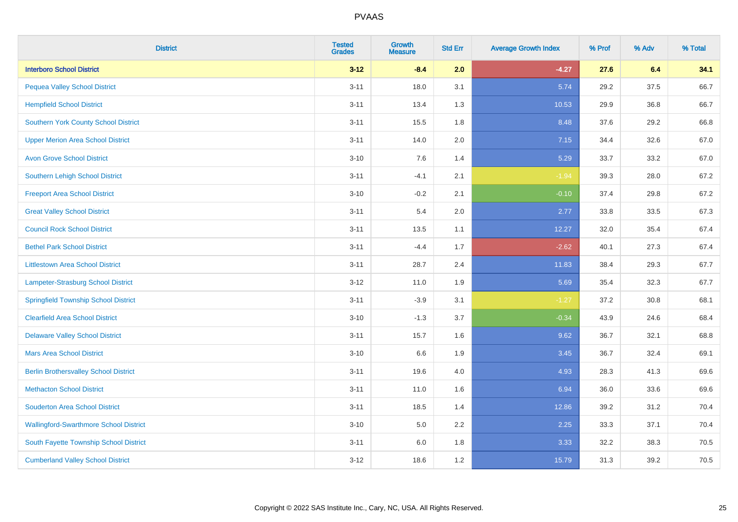| <b>District</b>                               | <b>Tested</b><br><b>Grades</b> | <b>Growth</b><br><b>Measure</b> | <b>Std Err</b> | <b>Average Growth Index</b> | % Prof | % Adv | % Total |
|-----------------------------------------------|--------------------------------|---------------------------------|----------------|-----------------------------|--------|-------|---------|
| <b>Interboro School District</b>              | $3 - 12$                       | $-8.4$                          | 2.0            | $-4.27$                     | 27.6   | 6.4   | 34.1    |
| <b>Pequea Valley School District</b>          | $3 - 11$                       | 18.0                            | 3.1            | 5.74                        | 29.2   | 37.5  | 66.7    |
| <b>Hempfield School District</b>              | $3 - 11$                       | 13.4                            | 1.3            | 10.53                       | 29.9   | 36.8  | 66.7    |
| <b>Southern York County School District</b>   | $3 - 11$                       | 15.5                            | 1.8            | 8.48                        | 37.6   | 29.2  | 66.8    |
| <b>Upper Merion Area School District</b>      | $3 - 11$                       | 14.0                            | 2.0            | 7.15                        | 34.4   | 32.6  | 67.0    |
| <b>Avon Grove School District</b>             | $3 - 10$                       | 7.6                             | 1.4            | 5.29                        | 33.7   | 33.2  | 67.0    |
| <b>Southern Lehigh School District</b>        | $3 - 11$                       | $-4.1$                          | 2.1            | $-1.94$                     | 39.3   | 28.0  | 67.2    |
| <b>Freeport Area School District</b>          | $3 - 10$                       | $-0.2$                          | 2.1            | $-0.10$                     | 37.4   | 29.8  | 67.2    |
| <b>Great Valley School District</b>           | $3 - 11$                       | 5.4                             | 2.0            | 2.77                        | 33.8   | 33.5  | 67.3    |
| <b>Council Rock School District</b>           | $3 - 11$                       | 13.5                            | 1.1            | 12.27                       | 32.0   | 35.4  | 67.4    |
| <b>Bethel Park School District</b>            | $3 - 11$                       | $-4.4$                          | 1.7            | $-2.62$                     | 40.1   | 27.3  | 67.4    |
| <b>Littlestown Area School District</b>       | $3 - 11$                       | 28.7                            | 2.4            | 11.83                       | 38.4   | 29.3  | 67.7    |
| Lampeter-Strasburg School District            | $3 - 12$                       | 11.0                            | 1.9            | 5.69                        | 35.4   | 32.3  | 67.7    |
| <b>Springfield Township School District</b>   | $3 - 11$                       | $-3.9$                          | 3.1            | $-1.27$                     | 37.2   | 30.8  | 68.1    |
| <b>Clearfield Area School District</b>        | $3 - 10$                       | $-1.3$                          | 3.7            | $-0.34$                     | 43.9   | 24.6  | 68.4    |
| <b>Delaware Valley School District</b>        | $3 - 11$                       | 15.7                            | 1.6            | 9.62                        | 36.7   | 32.1  | 68.8    |
| <b>Mars Area School District</b>              | $3 - 10$                       | 6.6                             | 1.9            | 3.45                        | 36.7   | 32.4  | 69.1    |
| <b>Berlin Brothersvalley School District</b>  | $3 - 11$                       | 19.6                            | 4.0            | 4.93                        | 28.3   | 41.3  | 69.6    |
| <b>Methacton School District</b>              | $3 - 11$                       | 11.0                            | 1.6            | 6.94                        | 36.0   | 33.6  | 69.6    |
| <b>Souderton Area School District</b>         | $3 - 11$                       | 18.5                            | 1.4            | 12.86                       | 39.2   | 31.2  | 70.4    |
| <b>Wallingford-Swarthmore School District</b> | $3 - 10$                       | 5.0                             | 2.2            | 2.25                        | 33.3   | 37.1  | 70.4    |
| South Fayette Township School District        | $3 - 11$                       | 6.0                             | 1.8            | 3.33                        | 32.2   | 38.3  | 70.5    |
| <b>Cumberland Valley School District</b>      | $3-12$                         | 18.6                            | 1.2            | 15.79                       | 31.3   | 39.2  | 70.5    |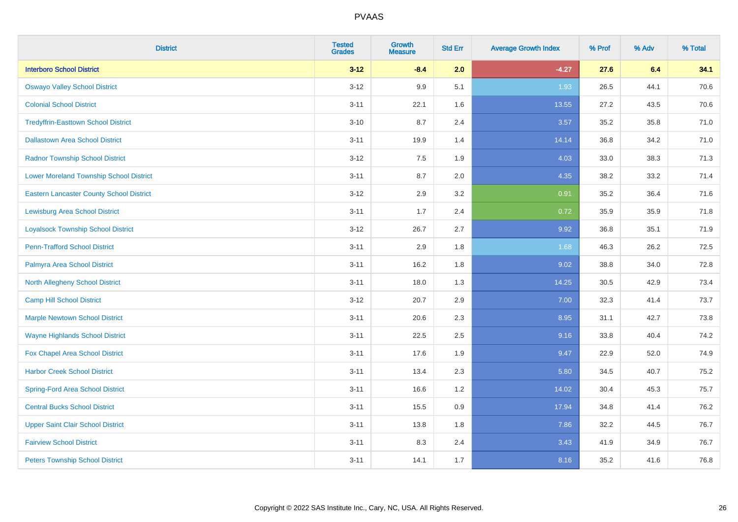| <b>District</b>                                 | <b>Tested</b><br><b>Grades</b> | <b>Growth</b><br><b>Measure</b> | <b>Std Err</b> | <b>Average Growth Index</b> | % Prof | % Adv | % Total |
|-------------------------------------------------|--------------------------------|---------------------------------|----------------|-----------------------------|--------|-------|---------|
| <b>Interboro School District</b>                | $3 - 12$                       | $-8.4$                          | 2.0            | $-4.27$                     | 27.6   | 6.4   | 34.1    |
| <b>Oswayo Valley School District</b>            | $3 - 12$                       | 9.9                             | 5.1            | 1.93                        | 26.5   | 44.1  | 70.6    |
| <b>Colonial School District</b>                 | $3 - 11$                       | 22.1                            | 1.6            | 13.55                       | 27.2   | 43.5  | 70.6    |
| <b>Tredyffrin-Easttown School District</b>      | $3 - 10$                       | 8.7                             | 2.4            | 3.57                        | 35.2   | 35.8  | 71.0    |
| <b>Dallastown Area School District</b>          | $3 - 11$                       | 19.9                            | 1.4            | 14.14                       | 36.8   | 34.2  | 71.0    |
| <b>Radnor Township School District</b>          | $3 - 12$                       | 7.5                             | 1.9            | 4.03                        | 33.0   | 38.3  | 71.3    |
| <b>Lower Moreland Township School District</b>  | $3 - 11$                       | 8.7                             | 2.0            | 4.35                        | 38.2   | 33.2  | 71.4    |
| <b>Eastern Lancaster County School District</b> | $3 - 12$                       | 2.9                             | 3.2            | 0.91                        | 35.2   | 36.4  | 71.6    |
| <b>Lewisburg Area School District</b>           | $3 - 11$                       | 1.7                             | 2.4            | 0.72                        | 35.9   | 35.9  | 71.8    |
| <b>Loyalsock Township School District</b>       | $3-12$                         | 26.7                            | 2.7            | 9.92                        | 36.8   | 35.1  | 71.9    |
| <b>Penn-Trafford School District</b>            | $3 - 11$                       | 2.9                             | 1.8            | 1.68                        | 46.3   | 26.2  | 72.5    |
| Palmyra Area School District                    | $3 - 11$                       | 16.2                            | 1.8            | 9.02                        | 38.8   | 34.0  | 72.8    |
| North Allegheny School District                 | $3 - 11$                       | 18.0                            | 1.3            | 14.25                       | 30.5   | 42.9  | 73.4    |
| <b>Camp Hill School District</b>                | $3 - 12$                       | 20.7                            | 2.9            | 7.00                        | 32.3   | 41.4  | 73.7    |
| <b>Marple Newtown School District</b>           | $3 - 11$                       | 20.6                            | 2.3            | 8.95                        | 31.1   | 42.7  | 73.8    |
| <b>Wayne Highlands School District</b>          | $3 - 11$                       | 22.5                            | 2.5            | 9.16                        | 33.8   | 40.4  | 74.2    |
| Fox Chapel Area School District                 | $3 - 11$                       | 17.6                            | 1.9            | 9.47                        | 22.9   | 52.0  | 74.9    |
| <b>Harbor Creek School District</b>             | $3 - 11$                       | 13.4                            | 2.3            | 5.80                        | 34.5   | 40.7  | 75.2    |
| <b>Spring-Ford Area School District</b>         | $3 - 11$                       | 16.6                            | 1.2            | 14.02                       | 30.4   | 45.3  | 75.7    |
| <b>Central Bucks School District</b>            | $3 - 11$                       | 15.5                            | 0.9            | 17.94                       | 34.8   | 41.4  | 76.2    |
| <b>Upper Saint Clair School District</b>        | $3 - 11$                       | 13.8                            | 1.8            | 7.86                        | 32.2   | 44.5  | 76.7    |
| <b>Fairview School District</b>                 | $3 - 11$                       | 8.3                             | 2.4            | 3.43                        | 41.9   | 34.9  | 76.7    |
| <b>Peters Township School District</b>          | $3 - 11$                       | 14.1                            | 1.7            | 8.16                        | 35.2   | 41.6  | 76.8    |